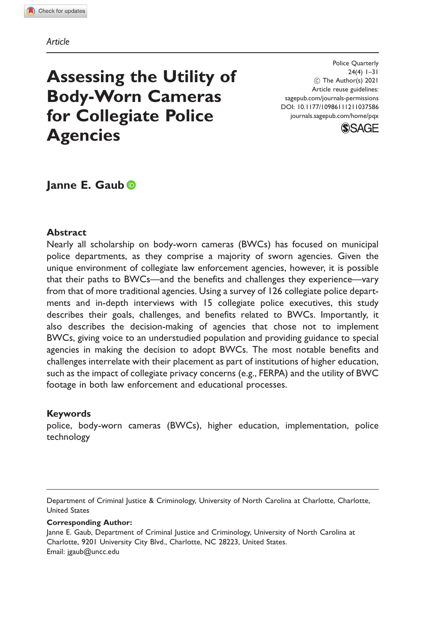#### Article

# Assessing the Utility of Body-Worn Cameras for Collegiate Police **Agencies**

Police Quarterly 24(4) 1–31 C The Author(s) 2021 Article reuse guidelines: [sagepub.com/journals-permissions](http://us.sagepub.com/en-us/journals-permissions) [DOI: 10.1177/10986111211037586](http://dx.doi.org/10.1177/10986111211037586) <journals.sagepub.com/home/pqx>



# Janne E. Gaub

#### **Abstract**

Nearly all scholarship on body-worn cameras (BWCs) has focused on municipal police departments, as they comprise a majority of sworn agencies. Given the unique environment of collegiate law enforcement agencies, however, it is possible that their paths to BWCs—and the benefits and challenges they experience—vary from that of more traditional agencies. Using a survey of 126 collegiate police departments and in-depth interviews with 15 collegiate police executives, this study describes their goals, challenges, and benefits related to BWCs. Importantly, it also describes the decision-making of agencies that chose not to implement BWCs, giving voice to an understudied population and providing guidance to special agencies in making the decision to adopt BWCs. The most notable benefits and challenges interrelate with their placement as part of institutions of higher education, such as the impact of collegiate privacy concerns (e.g., FERPA) and the utility of BWC footage in both law enforcement and educational processes.

#### Keywords

police, body-worn cameras (BWCs), higher education, implementation, police technology

Corresponding Author:

Janne E. Gaub, Department of Criminal Justice and Criminology, University of North Carolina at Charlotte, 9201 University City Blvd., Charlotte, NC 28223, United States. Email: [jgaub@uncc.edu](mailto:jgaub@uncc.edu)

Department of Criminal Justice & Criminology, University of North Carolina at Charlotte, Charlotte, United States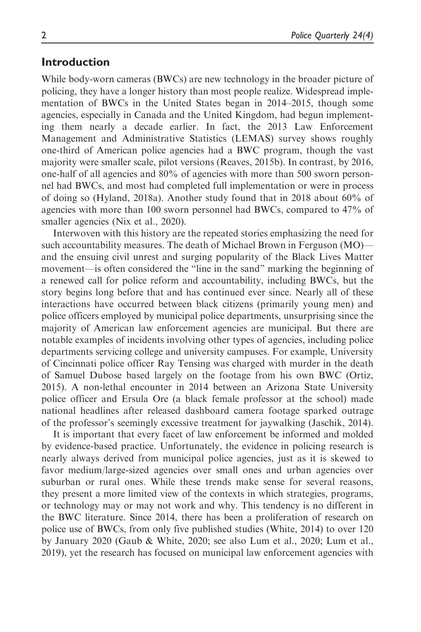### Introduction

While body-worn cameras (BWCs) are new technology in the broader picture of policing, they have a longer history than most people realize. Widespread implementation of BWCs in the United States began in 2014–2015, though some agencies, especially in Canada and the United Kingdom, had begun implementing them nearly a decade earlier. In fact, the 2013 Law Enforcement Management and Administrative Statistics (LEMAS) survey shows roughly one-third of American police agencies had a BWC program, though the vast majority were smaller scale, pilot versions (Reaves, 2015b). In contrast, by 2016, one-half of all agencies and 80% of agencies with more than 500 sworn personnel had BWCs, and most had completed full implementation or were in process of doing so (Hyland, 2018a). Another study found that in 2018 about 60% of agencies with more than 100 sworn personnel had BWCs, compared to 47% of smaller agencies (Nix et al., 2020).

Interwoven with this history are the repeated stories emphasizing the need for such accountability measures. The death of Michael Brown in Ferguson (MO) and the ensuing civil unrest and surging popularity of the Black Lives Matter movement—is often considered the "line in the sand" marking the beginning of a renewed call for police reform and accountability, including BWCs, but the story begins long before that and has continued ever since. Nearly all of these interactions have occurred between black citizens (primarily young men) and police officers employed by municipal police departments, unsurprising since the majority of American law enforcement agencies are municipal. But there are notable examples of incidents involving other types of agencies, including police departments servicing college and university campuses. For example, University of Cincinnati police officer Ray Tensing was charged with murder in the death of Samuel Dubose based largely on the footage from his own BWC (Ortiz, 2015). A non-lethal encounter in 2014 between an Arizona State University police officer and Ersula Ore (a black female professor at the school) made national headlines after released dashboard camera footage sparked outrage of the professor's seemingly excessive treatment for jaywalking (Jaschik, 2014).

It is important that every facet of law enforcement be informed and molded by evidence-based practice. Unfortunately, the evidence in policing research is nearly always derived from municipal police agencies, just as it is skewed to favor medium/large-sized agencies over small ones and urban agencies over suburban or rural ones. While these trends make sense for several reasons, they present a more limited view of the contexts in which strategies, programs, or technology may or may not work and why. This tendency is no different in the BWC literature. Since 2014, there has been a proliferation of research on police use of BWCs, from only five published studies (White, 2014) to over 120 by January 2020 (Gaub & White, 2020; see also Lum et al., 2020; Lum et al., 2019), yet the research has focused on municipal law enforcement agencies with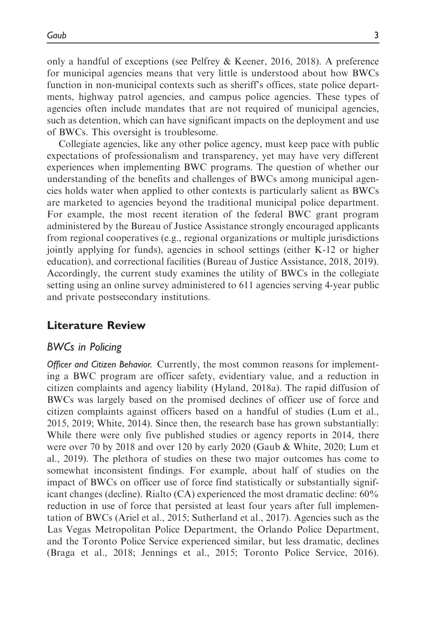only a handful of exceptions (see Pelfrey & Keener, 2016, 2018). A preference for municipal agencies means that very little is understood about how BWCs function in non-municipal contexts such as sheriff's offices, state police departments, highway patrol agencies, and campus police agencies. These types of agencies often include mandates that are not required of municipal agencies, such as detention, which can have significant impacts on the deployment and use of BWCs. This oversight is troublesome.

Collegiate agencies, like any other police agency, must keep pace with public expectations of professionalism and transparency, yet may have very different experiences when implementing BWC programs. The question of whether our understanding of the benefits and challenges of BWCs among municipal agencies holds water when applied to other contexts is particularly salient as BWCs are marketed to agencies beyond the traditional municipal police department. For example, the most recent iteration of the federal BWC grant program administered by the Bureau of Justice Assistance strongly encouraged applicants from regional cooperatives (e.g., regional organizations or multiple jurisdictions jointly applying for funds), agencies in school settings (either K-12 or higher education), and correctional facilities (Bureau of Justice Assistance, 2018, 2019). Accordingly, the current study examines the utility of BWCs in the collegiate setting using an online survey administered to 611 agencies serving 4-year public and private postsecondary institutions.

# Literature Review

### BWCs in Policing

Officer and Citizen Behavior. Currently, the most common reasons for implementing a BWC program are officer safety, evidentiary value, and a reduction in citizen complaints and agency liability (Hyland, 2018a). The rapid diffusion of BWCs was largely based on the promised declines of officer use of force and citizen complaints against officers based on a handful of studies (Lum et al., 2015, 2019; White, 2014). Since then, the research base has grown substantially: While there were only five published studies or agency reports in 2014, there were over 70 by 2018 and over 120 by early 2020 (Gaub & White, 2020; Lum et al., 2019). The plethora of studies on these two major outcomes has come to somewhat inconsistent findings. For example, about half of studies on the impact of BWCs on officer use of force find statistically or substantially significant changes (decline). Rialto (CA) experienced the most dramatic decline: 60% reduction in use of force that persisted at least four years after full implementation of BWCs (Ariel et al., 2015; Sutherland et al., 2017). Agencies such as the Las Vegas Metropolitan Police Department, the Orlando Police Department, and the Toronto Police Service experienced similar, but less dramatic, declines (Braga et al., 2018; Jennings et al., 2015; Toronto Police Service, 2016).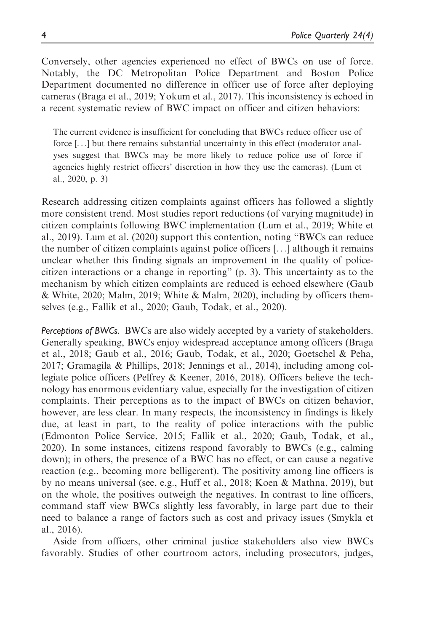Conversely, other agencies experienced no effect of BWCs on use of force. Notably, the DC Metropolitan Police Department and Boston Police Department documented no difference in officer use of force after deploying cameras (Braga et al., 2019; Yokum et al., 2017). This inconsistency is echoed in a recent systematic review of BWC impact on officer and citizen behaviors:

The current evidence is insufficient for concluding that BWCs reduce officer use of force [...] but there remains substantial uncertainty in this effect (moderator analyses suggest that BWCs may be more likely to reduce police use of force if agencies highly restrict officers' discretion in how they use the cameras). (Lum et al., 2020, p. 3)

Research addressing citizen complaints against officers has followed a slightly more consistent trend. Most studies report reductions (of varying magnitude) in citizen complaints following BWC implementation (Lum et al., 2019; White et al., 2019). Lum et al. (2020) support this contention, noting "BWCs can reduce the number of citizen complaints against police officers [...] although it remains unclear whether this finding signals an improvement in the quality of policecitizen interactions or a change in reporting" (p. 3). This uncertainty as to the mechanism by which citizen complaints are reduced is echoed elsewhere (Gaub & White, 2020; Malm, 2019; White & Malm, 2020), including by officers themselves (e.g., Fallik et al., 2020; Gaub, Todak, et al., 2020).

Perceptions of BWCs. BWCs are also widely accepted by a variety of stakeholders. Generally speaking, BWCs enjoy widespread acceptance among officers (Braga et al., 2018; Gaub et al., 2016; Gaub, Todak, et al., 2020; Goetschel & Peha, 2017; Gramagila & Phillips, 2018; Jennings et al., 2014), including among collegiate police officers (Pelfrey & Keener, 2016, 2018). Officers believe the technology has enormous evidentiary value, especially for the investigation of citizen complaints. Their perceptions as to the impact of BWCs on citizen behavior, however, are less clear. In many respects, the inconsistency in findings is likely due, at least in part, to the reality of police interactions with the public (Edmonton Police Service, 2015; Fallik et al., 2020; Gaub, Todak, et al., 2020). In some instances, citizens respond favorably to BWCs (e.g., calming down); in others, the presence of a BWC has no effect, or can cause a negative reaction (e.g., becoming more belligerent). The positivity among line officers is by no means universal (see, e.g., Huff et al., 2018; Koen & Mathna, 2019), but on the whole, the positives outweigh the negatives. In contrast to line officers, command staff view BWCs slightly less favorably, in large part due to their need to balance a range of factors such as cost and privacy issues (Smykla et al., 2016).

Aside from officers, other criminal justice stakeholders also view BWCs favorably. Studies of other courtroom actors, including prosecutors, judges,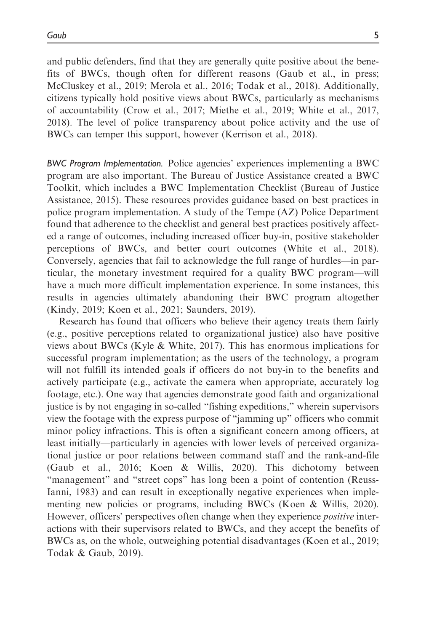and public defenders, find that they are generally quite positive about the benefits of BWCs, though often for different reasons (Gaub et al., in press; McCluskey et al., 2019; Merola et al., 2016; Todak et al., 2018). Additionally, citizens typically hold positive views about BWCs, particularly as mechanisms of accountability (Crow et al., 2017; Miethe et al., 2019; White et al., 2017, 2018). The level of police transparency about police activity and the use of BWCs can temper this support, however (Kerrison et al., 2018).

BWC Program Implementation. Police agencies' experiences implementing a BWC program are also important. The Bureau of Justice Assistance created a BWC Toolkit, which includes a BWC Implementation Checklist (Bureau of Justice Assistance, 2015). These resources provides guidance based on best practices in police program implementation. A study of the Tempe (AZ) Police Department found that adherence to the checklist and general best practices positively affected a range of outcomes, including increased officer buy-in, positive stakeholder perceptions of BWCs, and better court outcomes (White et al., 2018). Conversely, agencies that fail to acknowledge the full range of hurdles—in particular, the monetary investment required for a quality BWC program—will have a much more difficult implementation experience. In some instances, this results in agencies ultimately abandoning their BWC program altogether (Kindy, 2019; Koen et al., 2021; Saunders, 2019).

Research has found that officers who believe their agency treats them fairly (e.g., positive perceptions related to organizational justice) also have positive views about BWCs (Kyle & White, 2017). This has enormous implications for successful program implementation; as the users of the technology, a program will not fulfill its intended goals if officers do not buy-in to the benefits and actively participate (e.g., activate the camera when appropriate, accurately log footage, etc.). One way that agencies demonstrate good faith and organizational justice is by not engaging in so-called "fishing expeditions," wherein supervisors view the footage with the express purpose of "jamming up" officers who commit minor policy infractions. This is often a significant concern among officers, at least initially—particularly in agencies with lower levels of perceived organizational justice or poor relations between command staff and the rank-and-file (Gaub et al., 2016; Koen & Willis, 2020). This dichotomy between "management" and "street cops" has long been a point of contention (Reuss-Ianni, 1983) and can result in exceptionally negative experiences when implementing new policies or programs, including BWCs (Koen & Willis, 2020). However, officers' perspectives often change when they experience positive interactions with their supervisors related to BWCs, and they accept the benefits of BWCs as, on the whole, outweighing potential disadvantages (Koen et al., 2019; Todak & Gaub, 2019).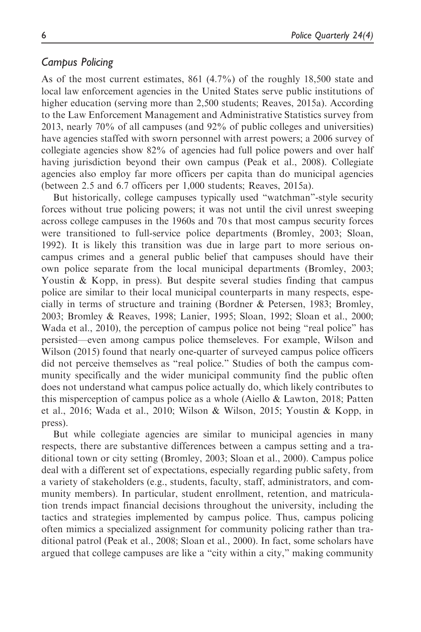# Campus Policing

As of the most current estimates, 861 (4.7%) of the roughly 18,500 state and local law enforcement agencies in the United States serve public institutions of higher education (serving more than 2,500 students; Reaves, 2015a). According to the Law Enforcement Management and Administrative Statistics survey from 2013, nearly 70% of all campuses (and 92% of public colleges and universities) have agencies staffed with sworn personnel with arrest powers; a 2006 survey of collegiate agencies show 82% of agencies had full police powers and over half having jurisdiction beyond their own campus (Peak et al., 2008). Collegiate agencies also employ far more officers per capita than do municipal agencies (between 2.5 and 6.7 officers per 1,000 students; Reaves, 2015a).

But historically, college campuses typically used "watchman"-style security forces without true policing powers; it was not until the civil unrest sweeping across college campuses in the 1960s and 70 s that most campus security forces were transitioned to full-service police departments (Bromley, 2003; Sloan, 1992). It is likely this transition was due in large part to more serious oncampus crimes and a general public belief that campuses should have their own police separate from the local municipal departments (Bromley, 2003; Youstin & Kopp, in press). But despite several studies finding that campus police are similar to their local municipal counterparts in many respects, especially in terms of structure and training (Bordner & Petersen, 1983; Bromley, 2003; Bromley & Reaves, 1998; Lanier, 1995; Sloan, 1992; Sloan et al., 2000; Wada et al., 2010), the perception of campus police not being "real police" has persisted—even among campus police themseleves. For example, Wilson and Wilson (2015) found that nearly one-quarter of surveyed campus police officers did not perceive themselves as "real police." Studies of both the campus community specifically and the wider municipal community find the public often does not understand what campus police actually do, which likely contributes to this misperception of campus police as a whole (Aiello & Lawton, 2018; Patten et al., 2016; Wada et al., 2010; Wilson & Wilson, 2015; Youstin & Kopp, in press).

But while collegiate agencies are similar to municipal agencies in many respects, there are substantive differences between a campus setting and a traditional town or city setting (Bromley, 2003; Sloan et al., 2000). Campus police deal with a different set of expectations, especially regarding public safety, from a variety of stakeholders (e.g., students, faculty, staff, administrators, and community members). In particular, student enrollment, retention, and matriculation trends impact financial decisions throughout the university, including the tactics and strategies implemented by campus police. Thus, campus policing often mimics a specialized assignment for community policing rather than traditional patrol (Peak et al., 2008; Sloan et al., 2000). In fact, some scholars have argued that college campuses are like a "city within a city," making community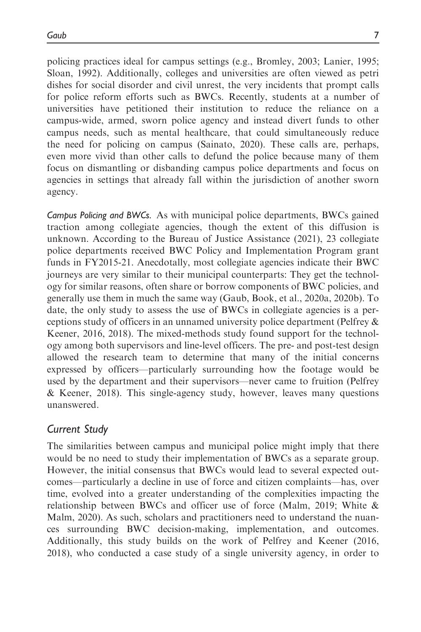Gaub 7

policing practices ideal for campus settings (e.g., Bromley, 2003; Lanier, 1995; Sloan, 1992). Additionally, colleges and universities are often viewed as petri dishes for social disorder and civil unrest, the very incidents that prompt calls for police reform efforts such as BWCs. Recently, students at a number of universities have petitioned their institution to reduce the reliance on a campus-wide, armed, sworn police agency and instead divert funds to other campus needs, such as mental healthcare, that could simultaneously reduce the need for policing on campus (Sainato, 2020). These calls are, perhaps, even more vivid than other calls to defund the police because many of them focus on dismantling or disbanding campus police departments and focus on agencies in settings that already fall within the jurisdiction of another sworn agency.

Campus Policing and BWCs. As with municipal police departments, BWCs gained traction among collegiate agencies, though the extent of this diffusion is unknown. According to the Bureau of Justice Assistance (2021), 23 collegiate police departments received BWC Policy and Implementation Program grant funds in FY2015-21. Anecdotally, most collegiate agencies indicate their BWC journeys are very similar to their municipal counterparts: They get the technology for similar reasons, often share or borrow components of BWC policies, and generally use them in much the same way (Gaub, Book, et al., 2020a, 2020b). To date, the only study to assess the use of BWCs in collegiate agencies is a perceptions study of officers in an unnamed university police department (Pelfrey & Keener, 2016, 2018). The mixed-methods study found support for the technology among both supervisors and line-level officers. The pre- and post-test design allowed the research team to determine that many of the initial concerns expressed by officers—particularly surrounding how the footage would be used by the department and their supervisors—never came to fruition (Pelfrey & Keener, 2018). This single-agency study, however, leaves many questions unanswered.

# Current Study

The similarities between campus and municipal police might imply that there would be no need to study their implementation of BWCs as a separate group. However, the initial consensus that BWCs would lead to several expected outcomes—particularly a decline in use of force and citizen complaints—has, over time, evolved into a greater understanding of the complexities impacting the relationship between BWCs and officer use of force (Malm, 2019; White & Malm, 2020). As such, scholars and practitioners need to understand the nuances surrounding BWC decision-making, implementation, and outcomes. Additionally, this study builds on the work of Pelfrey and Keener (2016, 2018), who conducted a case study of a single university agency, in order to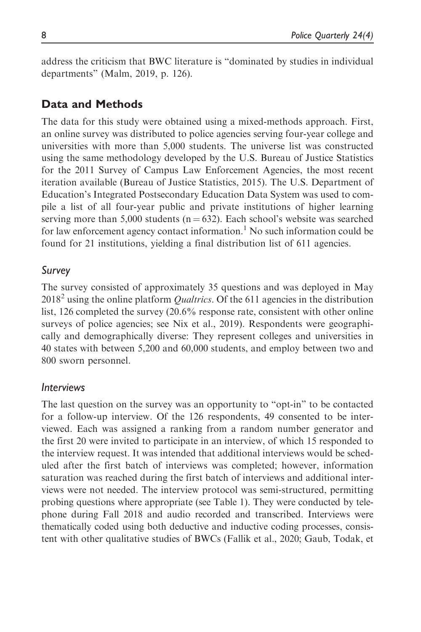address the criticism that BWC literature is "dominated by studies in individual departments" (Malm, 2019, p. 126).

# Data and Methods

The data for this study were obtained using a mixed-methods approach. First, an online survey was distributed to police agencies serving four-year college and universities with more than 5,000 students. The universe list was constructed using the same methodology developed by the U.S. Bureau of Justice Statistics for the 2011 Survey of Campus Law Enforcement Agencies, the most recent iteration available (Bureau of Justice Statistics, 2015). The U.S. Department of Education's Integrated Postsecondary Education Data System was used to compile a list of all four-year public and private institutions of higher learning serving more than 5,000 students ( $n = 632$ ). Each school's website was searched for law enforcement agency contact information.<sup>1</sup> No such information could be found for 21 institutions, yielding a final distribution list of 611 agencies.

# Survey

The survey consisted of approximately 35 questions and was deployed in May  $2018<sup>2</sup>$  using the online platform *Qualtrics*. Of the 611 agencies in the distribution list, 126 completed the survey (20.6% response rate, consistent with other online surveys of police agencies; see Nix et al., 2019). Respondents were geographically and demographically diverse: They represent colleges and universities in 40 states with between 5,200 and 60,000 students, and employ between two and 800 sworn personnel.

# Interviews

The last question on the survey was an opportunity to "opt-in" to be contacted for a follow-up interview. Of the 126 respondents, 49 consented to be interviewed. Each was assigned a ranking from a random number generator and the first 20 were invited to participate in an interview, of which 15 responded to the interview request. It was intended that additional interviews would be scheduled after the first batch of interviews was completed; however, information saturation was reached during the first batch of interviews and additional interviews were not needed. The interview protocol was semi-structured, permitting probing questions where appropriate (see Table 1). They were conducted by telephone during Fall 2018 and audio recorded and transcribed. Interviews were thematically coded using both deductive and inductive coding processes, consistent with other qualitative studies of BWCs (Fallik et al., 2020; Gaub, Todak, et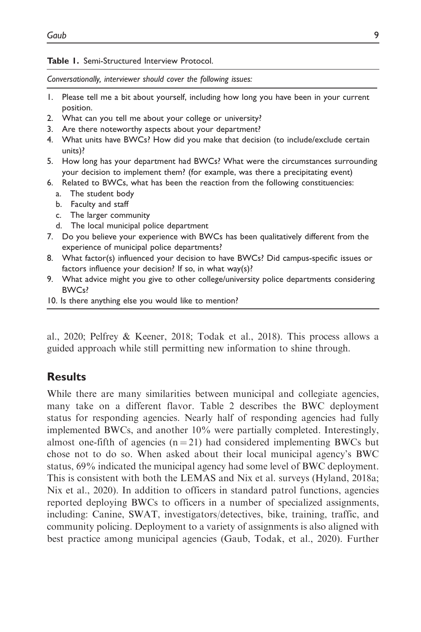#### Table 1. Semi-Structured Interview Protocol.

Conversationally, interviewer should cover the following issues:

- 1. Please tell me a bit about yourself, including how long you have been in your current position.
- 2. What can you tell me about your college or university?
- 3. Are there noteworthy aspects about your department?
- 4. What units have BWCs? How did you make that decision (to include/exclude certain units)?
- 5. How long has your department had BWCs? What were the circumstances surrounding your decision to implement them? (for example, was there a precipitating event)
- 6. Related to BWCs, what has been the reaction from the following constituencies:
	- a. The student body
	- b. Faculty and staff
	- c. The larger community
	- d. The local municipal police department
- 7. Do you believe your experience with BWCs has been qualitatively different from the experience of municipal police departments?
- 8. What factor(s) influenced your decision to have BWCs? Did campus-specific issues or factors influence your decision? If so, in what way(s)?
- 9. What advice might you give to other college/university police departments considering BWCs?
- 10. Is there anything else you would like to mention?

al., 2020; Pelfrey & Keener, 2018; Todak et al., 2018). This process allows a guided approach while still permitting new information to shine through.

# **Results**

While there are many similarities between municipal and collegiate agencies, many take on a different flavor. Table 2 describes the BWC deployment status for responding agencies. Nearly half of responding agencies had fully implemented BWCs, and another 10% were partially completed. Interestingly, almost one-fifth of agencies  $(n = 21)$  had considered implementing BWCs but chose not to do so. When asked about their local municipal agency's BWC status, 69% indicated the municipal agency had some level of BWC deployment. This is consistent with both the LEMAS and Nix et al. surveys (Hyland, 2018a; Nix et al., 2020). In addition to officers in standard patrol functions, agencies reported deploying BWCs to officers in a number of specialized assignments, including: Canine, SWAT, investigators/detectives, bike, training, traffic, and community policing. Deployment to a variety of assignments is also aligned with best practice among municipal agencies (Gaub, Todak, et al., 2020). Further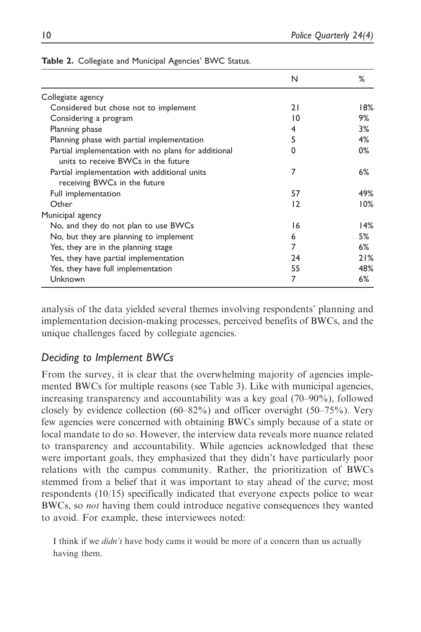|                                                     | N  | %   |
|-----------------------------------------------------|----|-----|
|                                                     |    |     |
| Collegiate agency                                   |    |     |
| Considered but chose not to implement               | 21 | 18% |
| Considering a program                               | 10 | 9%  |
| Planning phase                                      | 4  | 3%  |
| Planning phase with partial implementation          | 5  | 4%  |
| Partial implementation with no plans for additional | 0  | 0%  |
| units to receive BWCs in the future                 |    |     |
| Partial implementation with additional units        | 7  | 6%  |
| receiving BWCs in the future                        |    |     |
| Full implementation                                 | 57 | 49% |
| Other                                               | 12 | 10% |
| Municipal agency                                    |    |     |
| No, and they do not plan to use BWCs                | 16 | 14% |
| No, but they are planning to implement              | 6  | 5%  |
| Yes, they are in the planning stage                 | 7  | 6%  |
| Yes, they have partial implementation               | 24 | 21% |
| Yes, they have full implementation                  | 55 | 48% |
| Unknown                                             | 7  | 6%  |

| Table 2. Collegiate and Municipal Agencies' BWC Status. |  |  |
|---------------------------------------------------------|--|--|
|                                                         |  |  |

analysis of the data yielded several themes involving respondents' planning and implementation decision-making processes, perceived benefits of BWCs, and the unique challenges faced by collegiate agencies.

# Deciding to Implement BWCs

From the survey, it is clear that the overwhelming majority of agencies implemented BWCs for multiple reasons (see Table 3). Like with municipal agencies, increasing transparency and accountability was a key goal (70–90%), followed closely by evidence collection (60–82%) and officer oversight (50–75%). Very few agencies were concerned with obtaining BWCs simply because of a state or local mandate to do so. However, the interview data reveals more nuance related to transparency and accountability. While agencies acknowledged that these were important goals, they emphasized that they didn't have particularly poor relations with the campus community. Rather, the prioritization of BWCs stemmed from a belief that it was important to stay ahead of the curve; most respondents (10/15) specifically indicated that everyone expects police to wear BWCs, so *not* having them could introduce negative consequences they wanted to avoid. For example, these interviewees noted:

I think if we *didn't* have body cams it would be more of a concern than us actually having them.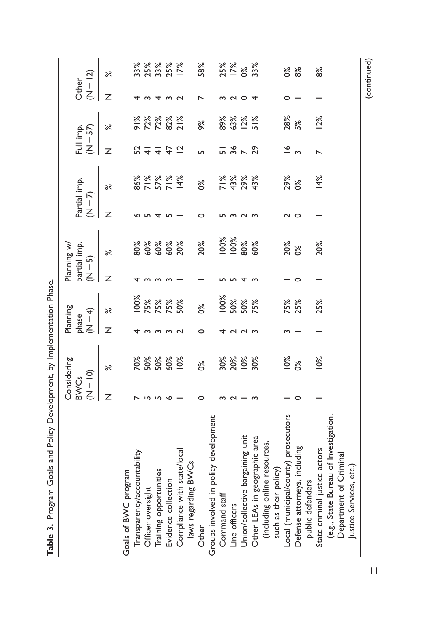|                                       |                                     | Considering       |        | Planning             |   | Planning w/                                              |                    |                           |                         |                                              |                     |                                    |
|---------------------------------------|-------------------------------------|-------------------|--------|----------------------|---|----------------------------------------------------------|--------------------|---------------------------|-------------------------|----------------------------------------------|---------------------|------------------------------------|
|                                       | $\overline{S}$ = 10)<br><b>BWCs</b> |                   |        | phase<br>( $N = 4$ ) |   | partial imp.<br>$(N = 5)$                                | $(1-\overline{1})$ | Partial imp.              | Full imp.<br>$(N = 57)$ |                                              | $(N = 12)$<br>Other |                                    |
|                                       | Z                                   | $\aleph$          | z      | ৯ৎ                   | Z | ৯ৎ                                                       | Z                  | ৯ৎ                        | Z                       | ৯ৎ                                           | Z                   | ৯ৎ                                 |
| Goals of BWC program                  |                                     |                   |        |                      |   |                                                          |                    |                           |                         |                                              |                     |                                    |
| Transparency/accountability           |                                     | $\frac{5}{6}$     |        | 100%                 |   |                                                          |                    |                           | 52                      |                                              |                     |                                    |
| Officer oversight                     |                                     |                   |        | 75%                  |   |                                                          |                    |                           | $\overline{+}$          |                                              |                     |                                    |
| Training opportunities                |                                     | 50%<br>50%<br>60% |        | 75%                  |   | 8<br>8<br>8<br>8<br>8<br>8<br>8<br>8<br>8<br>8<br>8<br>8 |                    | 86%<br>7577<br>86%<br>86% | $\frac{4}{7}$           | <b>% % % % %</b><br>6 2 % % % %<br>6 2 % % % | $\overline{4}$      | 8<br>8 8 8 8<br>8 9 8 8<br>8 9 8 8 |
| Evidence collection                   |                                     |                   |        | 75%                  |   |                                                          |                    |                           |                         |                                              | S                   |                                    |
| Compliance with state/local           |                                     | 10%               |        | 50%                  |   |                                                          |                    |                           | $\overline{2}$          |                                              |                     |                                    |
| laws regarding BWCs                   |                                     |                   |        |                      |   |                                                          |                    |                           |                         |                                              |                     |                                    |
| Other                                 |                                     | ò%                | O      | $\frac{8}{3}$        |   | 20%                                                      | 0                  | $\frac{8}{3}$             | ь                       | 9%                                           |                     | 58%                                |
| Groups involved in policy development |                                     |                   |        |                      |   |                                                          |                    |                           |                         |                                              |                     |                                    |
| Command staff                         |                                     |                   |        | 100%                 |   | 100%                                                     |                    |                           |                         | 89%                                          |                     |                                    |
| Line officers                         |                                     |                   |        | 50%                  |   |                                                          |                    |                           |                         |                                              | N O                 |                                    |
| Union/collective bargaining unit      |                                     | ೫<br>೧೮<br>೧೮     | $\sim$ | 50%                  |   | $\frac{100\%}{80\%}$                                     | $\sim$             | 7 %<br>4 3%<br>2 9%       | $58 - 29$               | 63%<br>12%                                   |                     | 25%<br>I 7%<br>O%                  |
| Other LEAs in geographic area         |                                     | 30%               |        | 75%                  |   | 60%                                                      |                    | 43%                       |                         | $51\%$                                       | 4                   | 33%                                |
| (including online resources,          |                                     |                   |        |                      |   |                                                          |                    |                           |                         |                                              |                     |                                    |
| such as their policy)                 |                                     |                   |        |                      |   |                                                          |                    |                           |                         |                                              |                     |                                    |
| Local (municipal/county) prosecutors  |                                     | 10%               |        | 75%<br>25%           |   | <b>20%</b><br>0%                                         | N O                | 29%<br>0%                 | $\tilde{=}$             | 28%<br>5%                                    |                     | <b>8%</b>                          |
| Defense attorneys, including          | 0                                   | b%                |        |                      | o |                                                          |                    |                           | $\sim$                  |                                              |                     |                                    |
| public defenders                      |                                     |                   |        |                      |   |                                                          |                    |                           |                         |                                              |                     |                                    |
| State criminal justice actors         |                                     | 10%               |        | 25%                  |   | 20%                                                      |                    | 14%                       | $\overline{ }$          | 12%                                          |                     | 8 <sup>o</sup>                     |
| (e.g., State Bureau of Investigation, |                                     |                   |        |                      |   |                                                          |                    |                           |                         |                                              |                     |                                    |
| Department of Criminal                |                                     |                   |        |                      |   |                                                          |                    |                           |                         |                                              |                     |                                    |
| Justice Services, etc.                |                                     |                   |        |                      |   |                                                          |                    |                           |                         |                                              |                     |                                    |

Table 3. Program Goals and Policy Development, by Implementation Phase. Table 3. Program Goals and Policy Development, by Implementation Phase.

11

<sup>(</sup>continued)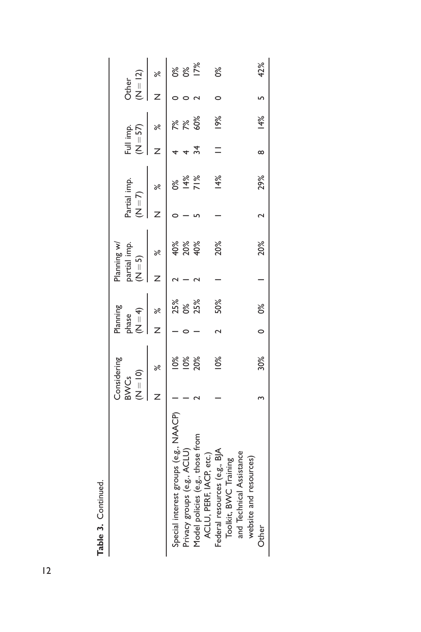| Table 3. Continued.                                                               |                           |             |       |                                 |         |                             |           |              |                         |     |                     |      |
|-----------------------------------------------------------------------------------|---------------------------|-------------|-------|---------------------------------|---------|-----------------------------|-----------|--------------|-------------------------|-----|---------------------|------|
|                                                                                   | $(N = 10)$<br><b>BWCs</b> | Considering | phase | Planning<br>$\widetilde{H} = 4$ | $(N=5)$ | partial imp.<br>Planning w/ | $(N = 7)$ | Partial imp. | Full imp.<br>$(N = 57)$ |     | $(N = 12)$<br>Other |      |
|                                                                                   |                           | ಸ           |       | ৽ৼ                              |         | ಸಿ                          |           | ಸಿ           |                         | ৯ৎ  |                     | ৽ৼ   |
| Special interest groups (e.g., NAACP)                                             |                           | $10\%$      |       | 25%                             |         | 40%                         |           | ೦ೆ           |                         | λĶ  |                     | 0%   |
| Privacy groups (e.g., ACLU)                                                       |                           | 10%         |       | 0%                              |         | 20%                         |           | 14%          |                         | 7%  |                     | p%   |
| Model policies (e.g., those from                                                  |                           | 20%         |       | 25%                             |         | 40%                         |           | 71%          | 34                      | 60% |                     | 17%  |
| Federal resources (e.g., BJA<br>ACLU, PERF, IACP, etc.)<br>Toolkit, BVVC Training |                           | 10%         |       | 50%                             |         | 20%                         |           | 14%          |                         | 19% |                     | ൦ഀ൦ഀ |
| and Technical Assistance                                                          |                           |             |       |                                 |         |                             |           |              |                         |     |                     |      |
| website and resources)                                                            |                           |             |       |                                 |         |                             |           |              |                         |     |                     |      |
| Other                                                                             |                           | 30%         |       | $   0\%$                        |         | 20%                         |           | 29%          | $\infty$                | 14% |                     | 42%  |
|                                                                                   |                           |             |       |                                 |         |                             |           |              |                         |     |                     |      |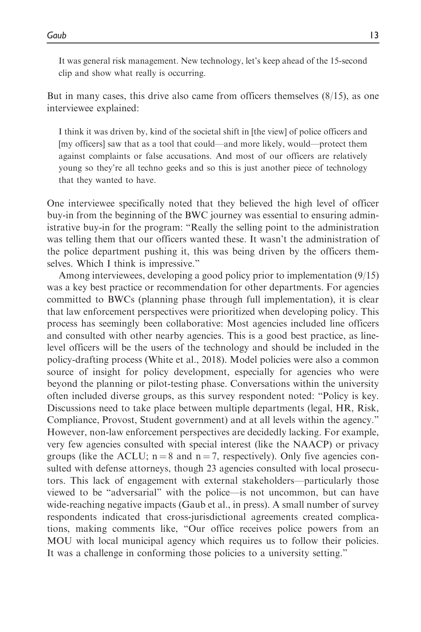It was general risk management. New technology, let's keep ahead of the 15-second clip and show what really is occurring.

But in many cases, this drive also came from officers themselves (8/15), as one interviewee explained:

I think it was driven by, kind of the societal shift in [the view] of police officers and [my officers] saw that as a tool that could—and more likely, would—protect them against complaints or false accusations. And most of our officers are relatively young so they're all techno geeks and so this is just another piece of technology that they wanted to have.

One interviewee specifically noted that they believed the high level of officer buy-in from the beginning of the BWC journey was essential to ensuring administrative buy-in for the program: "Really the selling point to the administration was telling them that our officers wanted these. It wasn't the administration of the police department pushing it, this was being driven by the officers themselves. Which I think is impressive."

Among interviewees, developing a good policy prior to implementation (9/15) was a key best practice or recommendation for other departments. For agencies committed to BWCs (planning phase through full implementation), it is clear that law enforcement perspectives were prioritized when developing policy. This process has seemingly been collaborative: Most agencies included line officers and consulted with other nearby agencies. This is a good best practice, as linelevel officers will be the users of the technology and should be included in the policy-drafting process (White et al., 2018). Model policies were also a common source of insight for policy development, especially for agencies who were beyond the planning or pilot-testing phase. Conversations within the university often included diverse groups, as this survey respondent noted: "Policy is key. Discussions need to take place between multiple departments (legal, HR, Risk, Compliance, Provost, Student government) and at all levels within the agency." However, non-law enforcement perspectives are decidedly lacking. For example, very few agencies consulted with special interest (like the NAACP) or privacy groups (like the ACLU;  $n = 8$  and  $n = 7$ , respectively). Only five agencies consulted with defense attorneys, though 23 agencies consulted with local prosecutors. This lack of engagement with external stakeholders—particularly those viewed to be "adversarial" with the police—is not uncommon, but can have wide-reaching negative impacts (Gaub et al., in press). A small number of survey respondents indicated that cross-jurisdictional agreements created complications, making comments like, "Our office receives police powers from an MOU with local municipal agency which requires us to follow their policies. It was a challenge in conforming those policies to a university setting."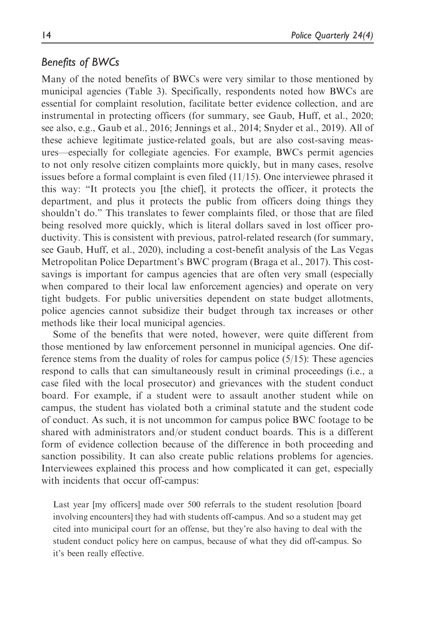# Benefits of BWCs

Many of the noted benefits of BWCs were very similar to those mentioned by municipal agencies (Table 3). Specifically, respondents noted how BWCs are essential for complaint resolution, facilitate better evidence collection, and are instrumental in protecting officers (for summary, see Gaub, Huff, et al., 2020; see also, e.g., Gaub et al., 2016; Jennings et al., 2014; Snyder et al., 2019). All of these achieve legitimate justice-related goals, but are also cost-saving measures—especially for collegiate agencies. For example, BWCs permit agencies to not only resolve citizen complaints more quickly, but in many cases, resolve issues before a formal complaint is even filed  $(11/15)$ . One interviewee phrased it this way: "It protects you [the chief], it protects the officer, it protects the department, and plus it protects the public from officers doing things they shouldn't do." This translates to fewer complaints filed, or those that are filed being resolved more quickly, which is literal dollars saved in lost officer productivity. This is consistent with previous, patrol-related research (for summary, see Gaub, Huff, et al., 2020), including a cost-benefit analysis of the Las Vegas Metropolitan Police Department's BWC program (Braga et al., 2017). This costsavings is important for campus agencies that are often very small (especially when compared to their local law enforcement agencies) and operate on very tight budgets. For public universities dependent on state budget allotments, police agencies cannot subsidize their budget through tax increases or other methods like their local municipal agencies.

Some of the benefits that were noted, however, were quite different from those mentioned by law enforcement personnel in municipal agencies. One difference stems from the duality of roles for campus police  $(5/15)$ : These agencies respond to calls that can simultaneously result in criminal proceedings (i.e., a case filed with the local prosecutor) and grievances with the student conduct board. For example, if a student were to assault another student while on campus, the student has violated both a criminal statute and the student code of conduct. As such, it is not uncommon for campus police BWC footage to be shared with administrators and/or student conduct boards. This is a different form of evidence collection because of the difference in both proceeding and sanction possibility. It can also create public relations problems for agencies. Interviewees explained this process and how complicated it can get, especially with incidents that occur off-campus:

Last year [my officers] made over 500 referrals to the student resolution [board involving encounters] they had with students off-campus. And so a student may get cited into municipal court for an offense, but they're also having to deal with the student conduct policy here on campus, because of what they did off-campus. So it's been really effective.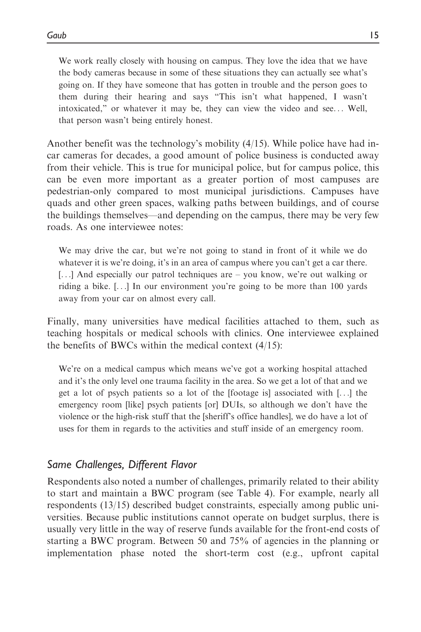We work really closely with housing on campus. They love the idea that we have the body cameras because in some of these situations they can actually see what's going on. If they have someone that has gotten in trouble and the person goes to them during their hearing and says "This isn't what happened, I wasn't intoxicated," or whatever it may be, they can view the video and see... Well, that person wasn't being entirely honest.

Another benefit was the technology's mobility (4/15). While police have had incar cameras for decades, a good amount of police business is conducted away from their vehicle. This is true for municipal police, but for campus police, this can be even more important as a greater portion of most campuses are pedestrian-only compared to most municipal jurisdictions. Campuses have quads and other green spaces, walking paths between buildings, and of course the buildings themselves—and depending on the campus, there may be very few roads. As one interviewee notes:

We may drive the car, but we're not going to stand in front of it while we do whatever it is we're doing, it's in an area of campus where you can't get a car there. [...] And especially our patrol techniques are – you know, we're out walking or riding a bike. [...] In our environment you're going to be more than 100 yards away from your car on almost every call.

Finally, many universities have medical facilities attached to them, such as teaching hospitals or medical schools with clinics. One interviewee explained the benefits of BWCs within the medical context  $(4/15)$ :

We're on a medical campus which means we've got a working hospital attached and it's the only level one trauma facility in the area. So we get a lot of that and we get a lot of psych patients so a lot of the [footage is] associated with [...] the emergency room [like] psych patients [or] DUIs, so although we don't have the violence or the high-risk stuff that the [sheriff's office handles], we do have a lot of uses for them in regards to the activities and stuff inside of an emergency room.

# Same Challenges, Different Flavor

Respondents also noted a number of challenges, primarily related to their ability to start and maintain a BWC program (see Table 4). For example, nearly all respondents (13/15) described budget constraints, especially among public universities. Because public institutions cannot operate on budget surplus, there is usually very little in the way of reserve funds available for the front-end costs of starting a BWC program. Between 50 and 75% of agencies in the planning or implementation phase noted the short-term cost (e.g., upfront capital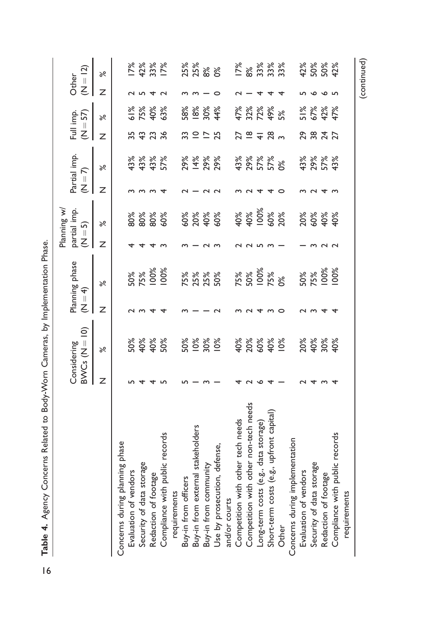|                                          |   | $BWCs (N = 10)$<br>Considering | $(1) = 4$      | Planning phase                   | $(N = 5)$ | Planning w/<br>partial imp.       | $(N = 7)$ | Partial imp.      |                         | Full imp.<br>$(N = 57)$       | Other | $(N = 12)$            |
|------------------------------------------|---|--------------------------------|----------------|----------------------------------|-----------|-----------------------------------|-----------|-------------------|-------------------------|-------------------------------|-------|-----------------------|
|                                          | Z | $\aleph$                       | Z              | ৯ৎ                               | Z         | ৯ৎ                                | Z         | $\aleph$          | z                       | ৯ৎ                            | Z     | ৯ৎ                    |
| Concerns during planning phase           |   |                                |                |                                  |           |                                   |           |                   |                         |                               |       |                       |
| Evaluation of vendors                    |   | 50%                            |                |                                  |           | 80%                               |           | 43%               | 55                      |                               |       | 17%                   |
| Security of data storage                 |   |                                |                | 50%<br>75%                       |           |                                   |           |                   |                         |                               |       |                       |
| Redaction of footage                     |   | 40%<br>40%                     |                | 100%                             |           | 80%<br>80%<br>60%                 |           | 43%<br>43%        | 43                      | 61%<br>75%<br>40%             |       | $42%$<br>33%<br>17%   |
| Compliance with public records           |   | 50%                            |                | 100%                             |           |                                   |           | 57%               | 36                      | 63%                           |       |                       |
| requirements                             |   |                                |                |                                  |           |                                   |           |                   |                         |                               |       |                       |
| Buy-in from officers                     |   | 50%                            |                |                                  |           |                                   |           |                   |                         |                               |       |                       |
| Buy-in from external stakeholders        |   | 10%                            |                |                                  |           |                                   |           |                   | $\supseteq$ $\supseteq$ |                               |       |                       |
| Buy-in from community                    |   | 30%                            |                | 75%<br>25%<br>50%                |           | <b>8% 8%</b><br>98% 98            | $\sim$    | 29%<br>14%<br>29% |                         | 58%<br>18%<br>44%             |       | <b>3%%</b><br>25%%    |
| Use by prosecution, defense,             |   | 10%                            |                |                                  |           |                                   | $\sim$    |                   | 25                      |                               |       |                       |
| and/or courts                            |   |                                |                |                                  |           |                                   |           |                   |                         |                               |       |                       |
| Competition with other tech needs        |   | 40%                            |                |                                  |           |                                   |           | 43%               | 27                      |                               |       |                       |
| Competition with other non-tech needs    |   | 20%                            |                |                                  | $\sim$    |                                   |           |                   | $\overset{\infty}{=}$   |                               |       |                       |
| Long-term costs (e.g., data storage)     |   | 60%                            | $\overline{ }$ | $75%$<br>$50%$<br>$75%$<br>$75%$ |           | $40%$<br>$40%$<br>$100%$<br>$50%$ |           | 29%<br>57%<br>57% | $\overline{+}$          | <b>47%%</b><br>52%%%<br>4774% |       | 12<br>123232<br>12332 |
| Short-term costs (e.g., upfront capital) |   | 40%                            | ന              |                                  |           |                                   |           |                   | 28                      |                               |       |                       |
| Other                                    |   | 10%                            | $\circ$        |                                  |           |                                   |           |                   |                         |                               |       |                       |
| Concerns during implementation           |   |                                |                |                                  |           |                                   |           |                   |                         |                               |       |                       |
| Evaluation of vendors                    |   | 20%                            |                |                                  |           |                                   |           | 43%               | 29                      |                               |       |                       |
| Security of data storage                 |   |                                |                | 50%<br>75%                       |           |                                   |           |                   |                         |                               |       |                       |
| Redaction of footage                     |   | 40%<br>30%                     |                | 100%<br>100%                     |           | <b>20%<br/>00%<br/>40%</b>        |           | 29%<br>57%<br>43% | 384                     | 51%<br>67%<br>47%             |       | 42%<br>50%<br>42%     |
| Compliance with public records           |   | 40%                            |                |                                  |           |                                   |           |                   |                         |                               |       |                       |
| requirements                             |   |                                |                |                                  |           |                                   |           |                   |                         |                               |       |                       |
|                                          |   |                                |                |                                  |           |                                   |           |                   |                         |                               |       | (continued)           |

Table 4. Agency Concerns Related to Body-Worn Cameras, by Implementation Phase. Table 4. Agency Concerns Related to Body-Worn Cameras, by Implementation Phase.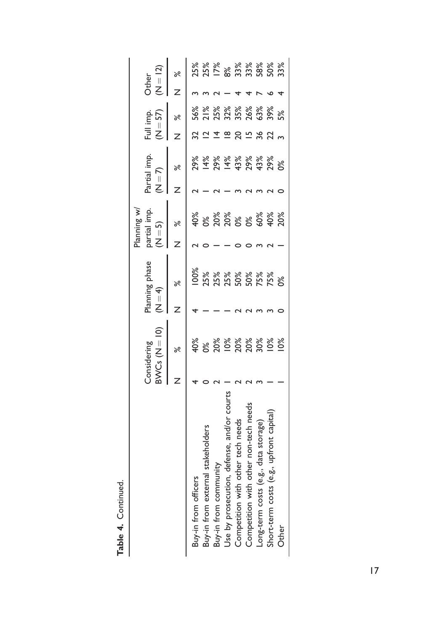|                                            | Considering | $3NCS(N=10)$  | (4) | Planning phase | partial imp.<br>Planning w/<br>$N = 5$ | $(N = 7)$ | Partial imp.      |          | Full imp.<br>$(N = 57)$ | Other | $N = 12$                  |
|--------------------------------------------|-------------|---------------|-----|----------------|----------------------------------------|-----------|-------------------|----------|-------------------------|-------|---------------------------|
|                                            |             | ಸ             |     | ৯ৎ             | ಸಿ                                     |           | ಸ                 |          | ৽ৼ                      |       |                           |
| Buy-in from officers                       |             |               |     | 00%            | 40%                                    |           | 29%               |          | 56%                     |       | 25%                       |
| Buy-in from external stakeholders          |             | ത്            |     | 25%            | $\frac{8}{3}$                          |           | 14%               |          | 21%                     |       | 25%                       |
| Buy-in from community                      |             | 20%           |     | 25%            |                                        |           | 29%               |          | 25%                     |       |                           |
| Jse by prosecution, defense, and/or courts |             | 10%           |     | 25%            | 20%<br>20%<br>0%                       |           | 14%               | $\infty$ | 32%                     |       | $128$<br>$8898$<br>$7388$ |
| Competition with other tech needs          |             | 20%           |     | 50%            |                                        |           | 43%               |          | 35%                     |       |                           |
| Competition with other non-tech needs      |             | 20%           |     | 50%            | p%                                     |           |                   | ⊵        | 26%<br>63%              |       |                           |
| Long-term costs (e.g., data storage)       |             | 30%           |     | 75%            |                                        |           | 29%<br>43%<br>29% | 36       |                         |       |                           |
| Short-term costs (e.g., upfront capital    |             | $\frac{8}{3}$ |     | 75%            | <b>ಹಿಳೆ</b><br>೧೯೫<br>೧೯               |           |                   | 22       | 39%                     |       | $\frac{8}{33}$            |
| Other                                      |             | $\frac{8}{3}$ |     | ೫೦             |                                        |           | p%                |          | 5%                      |       |                           |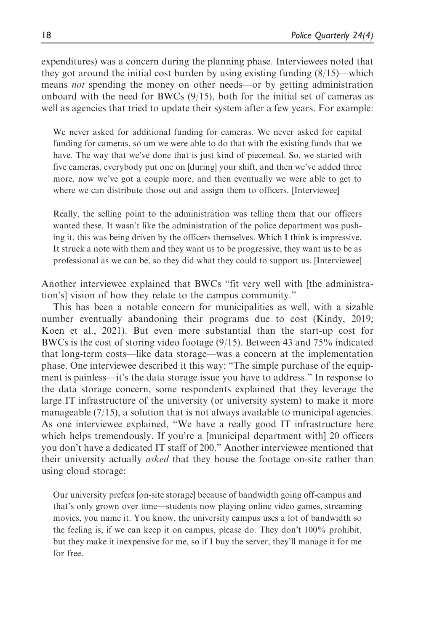expenditures) was a concern during the planning phase. Interviewees noted that they got around the initial cost burden by using existing funding  $(8/15)$ —which means not spending the money on other needs—or by getting administration onboard with the need for BWCs  $(9/15)$ , both for the initial set of cameras as well as agencies that tried to update their system after a few years. For example:

We never asked for additional funding for cameras. We never asked for capital funding for cameras, so um we were able to do that with the existing funds that we have. The way that we've done that is just kind of piecemeal. So, we started with five cameras, everybody put one on [during] your shift, and then we've added three more, now we've got a couple more, and then eventually we were able to get to where we can distribute those out and assign them to officers. [Interviewee]

Really, the selling point to the administration was telling them that our officers wanted these. It wasn't like the administration of the police department was pushing it, this was being driven by the officers themselves. Which I think is impressive. It struck a note with them and they want us to be progressive, they want us to be as professional as we can be, so they did what they could to support us. [Interviewee]

Another interviewee explained that BWCs "fit very well with [the administration's] vision of how they relate to the campus community."

This has been a notable concern for municipalities as well, with a sizable number eventually abandoning their programs due to cost (Kindy, 2019; Koen et al., 2021). But even more substantial than the start-up cost for BWCs is the cost of storing video footage (9/15). Between 43 and 75% indicated that long-term costs—like data storage—was a concern at the implementation phase. One interviewee described it this way: "The simple purchase of the equipment is painless—it's the data storage issue you have to address." In response to the data storage concern, some respondents explained that they leverage the large IT infrastructure of the university (or university system) to make it more manageable  $(7/15)$ , a solution that is not always available to municipal agencies. As one interviewee explained, "We have a really good IT infrastructure here which helps tremendously. If you're a [municipal department with] 20 officers you don't have a dedicated IT staff of 200." Another interviewee mentioned that their university actually *asked* that they house the footage on-site rather than using cloud storage:

Our university prefers [on-site storage] because of bandwidth going off-campus and that's only grown over time—students now playing online video games, streaming movies, you name it. You know, the university campus uses a lot of bandwidth so the feeling is, if we can keep it on campus, please do. They don't 100% prohibit, but they make it inexpensive for me, so if I buy the server, they'll manage it for me for free.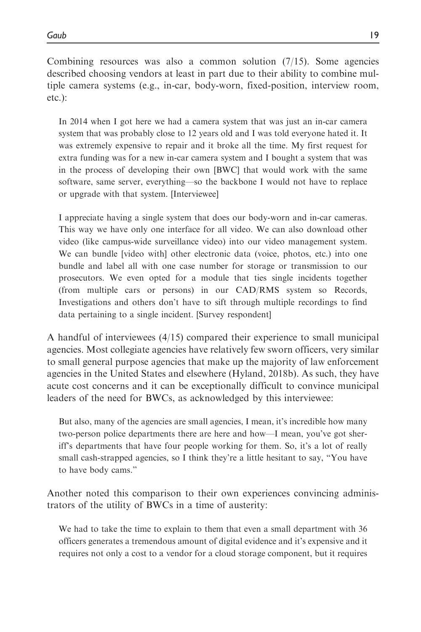Combining resources was also a common solution  $(7/15)$ . Some agencies described choosing vendors at least in part due to their ability to combine multiple camera systems (e.g., in-car, body-worn, fixed-position, interview room, etc.):

In 2014 when I got here we had a camera system that was just an in-car camera system that was probably close to 12 years old and I was told everyone hated it. It was extremely expensive to repair and it broke all the time. My first request for extra funding was for a new in-car camera system and I bought a system that was in the process of developing their own [BWC] that would work with the same software, same server, everything—so the backbone I would not have to replace or upgrade with that system. [Interviewee]

I appreciate having a single system that does our body-worn and in-car cameras. This way we have only one interface for all video. We can also download other video (like campus-wide surveillance video) into our video management system. We can bundle [video with] other electronic data (voice, photos, etc.) into one bundle and label all with one case number for storage or transmission to our prosecutors. We even opted for a module that ties single incidents together (from multiple cars or persons) in our CAD/RMS system so Records, Investigations and others don't have to sift through multiple recordings to find data pertaining to a single incident. [Survey respondent]

A handful of interviewees (4/15) compared their experience to small municipal agencies. Most collegiate agencies have relatively few sworn officers, very similar to small general purpose agencies that make up the majority of law enforcement agencies in the United States and elsewhere (Hyland, 2018b). As such, they have acute cost concerns and it can be exceptionally difficult to convince municipal leaders of the need for BWCs, as acknowledged by this interviewee:

But also, many of the agencies are small agencies, I mean, it's incredible how many two-person police departments there are here and how—I mean, you've got sheriff's departments that have four people working for them. So, it's a lot of really small cash-strapped agencies, so I think they're a little hesitant to say, "You have to have body cams."

Another noted this comparison to their own experiences convincing administrators of the utility of BWCs in a time of austerity:

We had to take the time to explain to them that even a small department with 36 officers generates a tremendous amount of digital evidence and it's expensive and it requires not only a cost to a vendor for a cloud storage component, but it requires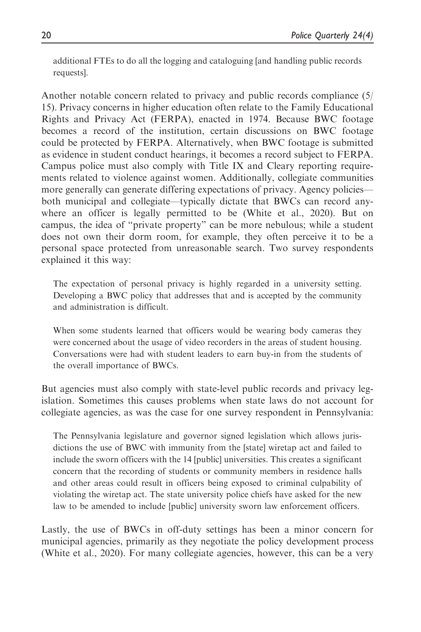additional FTEs to do all the logging and cataloguing [and handling public records requests].

Another notable concern related to privacy and public records compliance (5/ 15). Privacy concerns in higher education often relate to the Family Educational Rights and Privacy Act (FERPA), enacted in 1974. Because BWC footage becomes a record of the institution, certain discussions on BWC footage could be protected by FERPA. Alternatively, when BWC footage is submitted as evidence in student conduct hearings, it becomes a record subject to FERPA. Campus police must also comply with Title IX and Cleary reporting requirements related to violence against women. Additionally, collegiate communities more generally can generate differing expectations of privacy. Agency policies both municipal and collegiate—typically dictate that BWCs can record anywhere an officer is legally permitted to be (White et al., 2020). But on campus, the idea of "private property" can be more nebulous; while a student does not own their dorm room, for example, they often perceive it to be a personal space protected from unreasonable search. Two survey respondents explained it this way:

The expectation of personal privacy is highly regarded in a university setting. Developing a BWC policy that addresses that and is accepted by the community and administration is difficult.

When some students learned that officers would be wearing body cameras they were concerned about the usage of video recorders in the areas of student housing. Conversations were had with student leaders to earn buy-in from the students of the overall importance of BWCs.

But agencies must also comply with state-level public records and privacy legislation. Sometimes this causes problems when state laws do not account for collegiate agencies, as was the case for one survey respondent in Pennsylvania:

The Pennsylvania legislature and governor signed legislation which allows jurisdictions the use of BWC with immunity from the [state] wiretap act and failed to include the sworn officers with the 14 [public] universities. This creates a significant concern that the recording of students or community members in residence halls and other areas could result in officers being exposed to criminal culpability of violating the wiretap act. The state university police chiefs have asked for the new law to be amended to include [public] university sworn law enforcement officers.

Lastly, the use of BWCs in off-duty settings has been a minor concern for municipal agencies, primarily as they negotiate the policy development process (White et al., 2020). For many collegiate agencies, however, this can be a very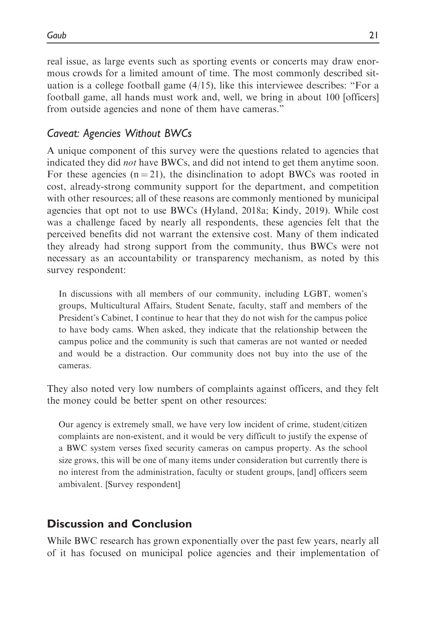real issue, as large events such as sporting events or concerts may draw enormous crowds for a limited amount of time. The most commonly described situation is a college football game  $(4/15)$ , like this interviewee describes: "For a football game, all hands must work and, well, we bring in about 100 [officers] from outside agencies and none of them have cameras."

# Caveat: Agencies Without BWCs

A unique component of this survey were the questions related to agencies that indicated they did *not* have BWCs, and did not intend to get them anytime soon. For these agencies  $(n = 21)$ , the disinclination to adopt BWCs was rooted in cost, already-strong community support for the department, and competition with other resources; all of these reasons are commonly mentioned by municipal agencies that opt not to use BWCs (Hyland, 2018a; Kindy, 2019). While cost was a challenge faced by nearly all respondents, these agencies felt that the perceived benefits did not warrant the extensive cost. Many of them indicated they already had strong support from the community, thus BWCs were not necessary as an accountability or transparency mechanism, as noted by this survey respondent:

In discussions with all members of our community, including LGBT, women's groups, Multicultural Affairs, Student Senate, faculty, staff and members of the President's Cabinet, I continue to hear that they do not wish for the campus police to have body cams. When asked, they indicate that the relationship between the campus police and the community is such that cameras are not wanted or needed and would be a distraction. Our community does not buy into the use of the cameras.

They also noted very low numbers of complaints against officers, and they felt the money could be better spent on other resources:

Our agency is extremely small, we have very low incident of crime, student/citizen complaints are non-existent, and it would be very difficult to justify the expense of a BWC system verses fixed security cameras on campus property. As the school size grows, this will be one of many items under consideration but currently there is no interest from the administration, faculty or student groups, [and] officers seem ambivalent. [Survey respondent]

# Discussion and Conclusion

While BWC research has grown exponentially over the past few years, nearly all of it has focused on municipal police agencies and their implementation of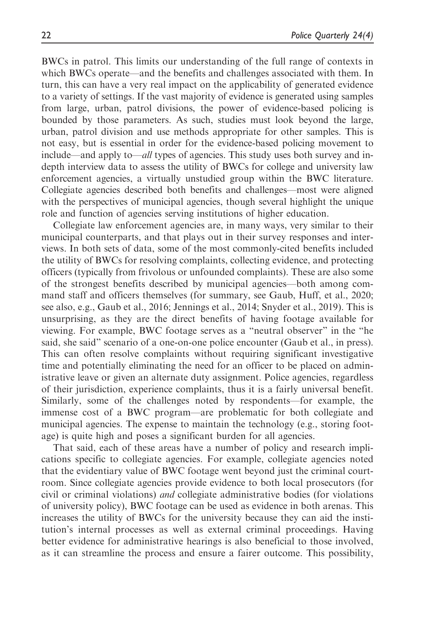BWCs in patrol. This limits our understanding of the full range of contexts in which BWCs operate—and the benefits and challenges associated with them. In turn, this can have a very real impact on the applicability of generated evidence to a variety of settings. If the vast majority of evidence is generated using samples from large, urban, patrol divisions, the power of evidence-based policing is bounded by those parameters. As such, studies must look beyond the large, urban, patrol division and use methods appropriate for other samples. This is not easy, but is essential in order for the evidence-based policing movement to include—and apply to—all types of agencies. This study uses both survey and indepth interview data to assess the utility of BWCs for college and university law enforcement agencies, a virtually unstudied group within the BWC literature. Collegiate agencies described both benefits and challenges—most were aligned with the perspectives of municipal agencies, though several highlight the unique role and function of agencies serving institutions of higher education.

Collegiate law enforcement agencies are, in many ways, very similar to their municipal counterparts, and that plays out in their survey responses and interviews. In both sets of data, some of the most commonly-cited benefits included the utility of BWCs for resolving complaints, collecting evidence, and protecting officers (typically from frivolous or unfounded complaints). These are also some of the strongest benefits described by municipal agencies—both among command staff and officers themselves (for summary, see Gaub, Huff, et al., 2020; see also, e.g., Gaub et al., 2016; Jennings et al., 2014; Snyder et al., 2019). This is unsurprising, as they are the direct benefits of having footage available for viewing. For example, BWC footage serves as a "neutral observer" in the "he said, she said" scenario of a one-on-one police encounter (Gaub et al., in press). This can often resolve complaints without requiring significant investigative time and potentially eliminating the need for an officer to be placed on administrative leave or given an alternate duty assignment. Police agencies, regardless of their jurisdiction, experience complaints, thus it is a fairly universal benefit. Similarly, some of the challenges noted by respondents—for example, the immense cost of a BWC program—are problematic for both collegiate and municipal agencies. The expense to maintain the technology (e.g., storing footage) is quite high and poses a significant burden for all agencies.

That said, each of these areas have a number of policy and research implications specific to collegiate agencies. For example, collegiate agencies noted that the evidentiary value of BWC footage went beyond just the criminal courtroom. Since collegiate agencies provide evidence to both local prosecutors (for civil or criminal violations) and collegiate administrative bodies (for violations of university policy), BWC footage can be used as evidence in both arenas. This increases the utility of BWCs for the university because they can aid the institution's internal processes as well as external criminal proceedings. Having better evidence for administrative hearings is also beneficial to those involved, as it can streamline the process and ensure a fairer outcome. This possibility,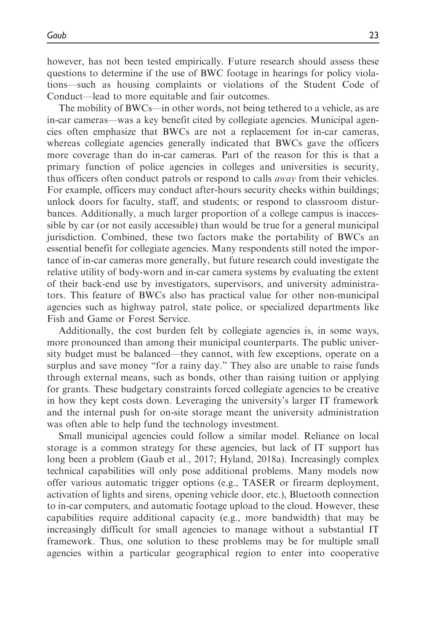however, has not been tested empirically. Future research should assess these questions to determine if the use of BWC footage in hearings for policy violations—such as housing complaints or violations of the Student Code of Conduct—lead to more equitable and fair outcomes.

The mobility of BWCs—in other words, not being tethered to a vehicle, as are in-car cameras—was a key benefit cited by collegiate agencies. Municipal agencies often emphasize that BWCs are not a replacement for in-car cameras, whereas collegiate agencies generally indicated that BWCs gave the officers more coverage than do in-car cameras. Part of the reason for this is that a primary function of police agencies in colleges and universities is security, thus officers often conduct patrols or respond to calls *away* from their vehicles. For example, officers may conduct after-hours security checks within buildings; unlock doors for faculty, staff, and students; or respond to classroom disturbances. Additionally, a much larger proportion of a college campus is inaccessible by car (or not easily accessible) than would be true for a general municipal jurisdiction. Combined, these two factors make the portability of BWCs an essential benefit for collegiate agencies. Many respondents still noted the importance of in-car cameras more generally, but future research could investigate the relative utility of body-worn and in-car camera systems by evaluating the extent of their back-end use by investigators, supervisors, and university administrators. This feature of BWCs also has practical value for other non-municipal agencies such as highway patrol, state police, or specialized departments like Fish and Game or Forest Service.

Additionally, the cost burden felt by collegiate agencies is, in some ways, more pronounced than among their municipal counterparts. The public university budget must be balanced—they cannot, with few exceptions, operate on a surplus and save money "for a rainy day." They also are unable to raise funds through external means, such as bonds, other than raising tuition or applying for grants. These budgetary constraints forced collegiate agencies to be creative in how they kept costs down. Leveraging the university's larger IT framework and the internal push for on-site storage meant the university administration was often able to help fund the technology investment.

Small municipal agencies could follow a similar model. Reliance on local storage is a common strategy for these agencies, but lack of IT support has long been a problem (Gaub et al., 2017; Hyland, 2018a). Increasingly complex technical capabilities will only pose additional problems. Many models now offer various automatic trigger options (e.g., TASER or firearm deployment, activation of lights and sirens, opening vehicle door, etc.), Bluetooth connection to in-car computers, and automatic footage upload to the cloud. However, these capabilities require additional capacity (e.g., more bandwidth) that may be increasingly difficult for small agencies to manage without a substantial IT framework. Thus, one solution to these problems may be for multiple small agencies within a particular geographical region to enter into cooperative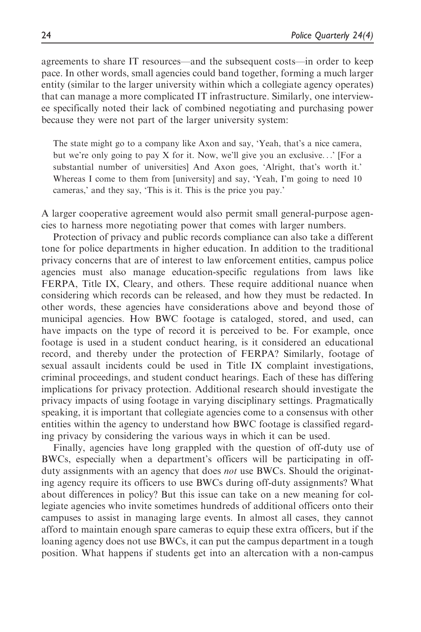agreements to share IT resources—and the subsequent costs—in order to keep pace. In other words, small agencies could band together, forming a much larger entity (similar to the larger university within which a collegiate agency operates) that can manage a more complicated IT infrastructure. Similarly, one interviewee specifically noted their lack of combined negotiating and purchasing power because they were not part of the larger university system:

The state might go to a company like Axon and say, 'Yeah, that's a nice camera, but we're only going to pay X for it. Now, we'll give you an exclusive...' [For a substantial number of universities] And Axon goes, 'Alright, that's worth it.' Whereas I come to them from [university] and say, 'Yeah, I'm going to need 10 cameras,' and they say, 'This is it. This is the price you pay.'

A larger cooperative agreement would also permit small general-purpose agencies to harness more negotiating power that comes with larger numbers.

Protection of privacy and public records compliance can also take a different tone for police departments in higher education. In addition to the traditional privacy concerns that are of interest to law enforcement entities, campus police agencies must also manage education-specific regulations from laws like FERPA, Title IX, Cleary, and others. These require additional nuance when considering which records can be released, and how they must be redacted. In other words, these agencies have considerations above and beyond those of municipal agencies. How BWC footage is cataloged, stored, and used, can have impacts on the type of record it is perceived to be. For example, once footage is used in a student conduct hearing, is it considered an educational record, and thereby under the protection of FERPA? Similarly, footage of sexual assault incidents could be used in Title IX complaint investigations, criminal proceedings, and student conduct hearings. Each of these has differing implications for privacy protection. Additional research should investigate the privacy impacts of using footage in varying disciplinary settings. Pragmatically speaking, it is important that collegiate agencies come to a consensus with other entities within the agency to understand how BWC footage is classified regarding privacy by considering the various ways in which it can be used.

Finally, agencies have long grappled with the question of off-duty use of BWCs, especially when a department's officers will be participating in offduty assignments with an agency that does *not* use BWCs. Should the originating agency require its officers to use BWCs during off-duty assignments? What about differences in policy? But this issue can take on a new meaning for collegiate agencies who invite sometimes hundreds of additional officers onto their campuses to assist in managing large events. In almost all cases, they cannot afford to maintain enough spare cameras to equip these extra officers, but if the loaning agency does not use BWCs, it can put the campus department in a tough position. What happens if students get into an altercation with a non-campus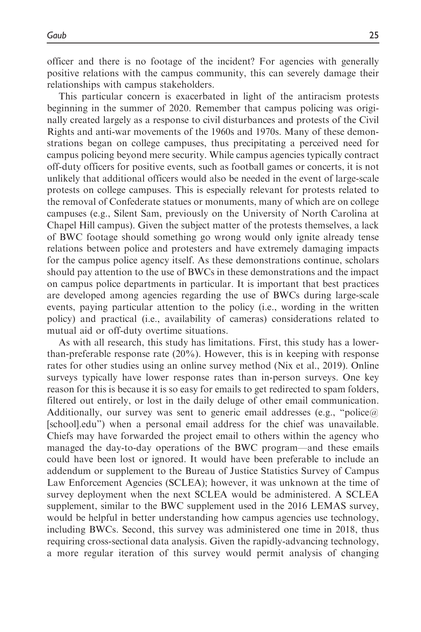officer and there is no footage of the incident? For agencies with generally positive relations with the campus community, this can severely damage their relationships with campus stakeholders.

This particular concern is exacerbated in light of the antiracism protests beginning in the summer of 2020. Remember that campus policing was originally created largely as a response to civil disturbances and protests of the Civil Rights and anti-war movements of the 1960s and 1970s. Many of these demonstrations began on college campuses, thus precipitating a perceived need for campus policing beyond mere security. While campus agencies typically contract off-duty officers for positive events, such as football games or concerts, it is not unlikely that additional officers would also be needed in the event of large-scale protests on college campuses. This is especially relevant for protests related to the removal of Confederate statues or monuments, many of which are on college campuses (e.g., Silent Sam, previously on the University of North Carolina at Chapel Hill campus). Given the subject matter of the protests themselves, a lack of BWC footage should something go wrong would only ignite already tense relations between police and protesters and have extremely damaging impacts for the campus police agency itself. As these demonstrations continue, scholars should pay attention to the use of BWCs in these demonstrations and the impact on campus police departments in particular. It is important that best practices are developed among agencies regarding the use of BWCs during large-scale events, paying particular attention to the policy (i.e., wording in the written policy) and practical (i.e., availability of cameras) considerations related to mutual aid or off-duty overtime situations.

As with all research, this study has limitations. First, this study has a lowerthan-preferable response rate (20%). However, this is in keeping with response rates for other studies using an online survey method (Nix et al., 2019). Online surveys typically have lower response rates than in-person surveys. One key reason for this is because it is so easy for emails to get redirected to spam folders, filtered out entirely, or lost in the daily deluge of other email communication. Additionally, our survey was sent to generic email addresses (e.g., "[police@](mailto:police@<school>.edu) [\[school\].edu](mailto:police@<school>.edu)") when a personal email address for the chief was unavailable. Chiefs may have forwarded the project email to others within the agency who managed the day-to-day operations of the BWC program—and these emails could have been lost or ignored. It would have been preferable to include an addendum or supplement to the Bureau of Justice Statistics Survey of Campus Law Enforcement Agencies (SCLEA); however, it was unknown at the time of survey deployment when the next SCLEA would be administered. A SCLEA supplement, similar to the BWC supplement used in the 2016 LEMAS survey, would be helpful in better understanding how campus agencies use technology, including BWCs. Second, this survey was administered one time in 2018, thus requiring cross-sectional data analysis. Given the rapidly-advancing technology, a more regular iteration of this survey would permit analysis of changing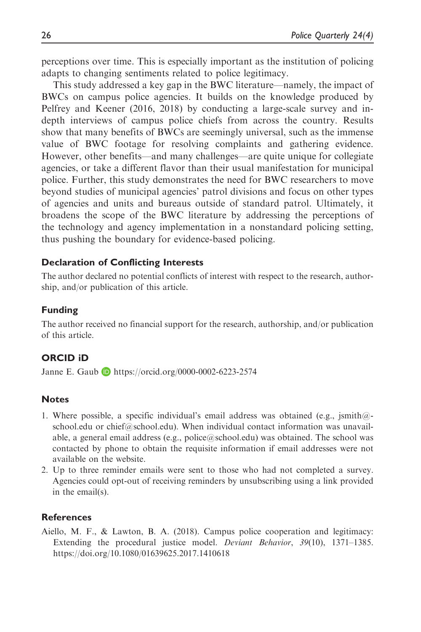perceptions over time. This is especially important as the institution of policing adapts to changing sentiments related to police legitimacy.

This study addressed a key gap in the BWC literature—namely, the impact of BWCs on campus police agencies. It builds on the knowledge produced by Pelfrey and Keener (2016, 2018) by conducting a large-scale survey and indepth interviews of campus police chiefs from across the country. Results show that many benefits of BWCs are seemingly universal, such as the immense value of BWC footage for resolving complaints and gathering evidence. However, other benefits—and many challenges—are quite unique for collegiate agencies, or take a different flavor than their usual manifestation for municipal police. Further, this study demonstrates the need for BWC researchers to move beyond studies of municipal agencies' patrol divisions and focus on other types of agencies and units and bureaus outside of standard patrol. Ultimately, it broadens the scope of the BWC literature by addressing the perceptions of the technology and agency implementation in a nonstandard policing setting, thus pushing the boundary for evidence-based policing.

### Declaration of Conflicting Interests

The author declared no potential conflicts of interest with respect to the research, authorship, and/or publication of this article.

### Funding

The author received no financial support for the research, authorship, and/or publication of this article.

# ORCID iD

Janne E. Gaub D <https://orcid.org/0000-0002-6223-2574>

# **Notes**

- 1. Where possible, a specific individual's email address was obtained (e.g.,  $\text{ismith@-}$ school.edu or chief@school.edu). When individual contact information was unavailable, a general email address (e.g., police@school.edu) was obtained. The school was contacted by phone to obtain the requisite information if email addresses were not available on the website.
- 2. Up to three reminder emails were sent to those who had not completed a survey. Agencies could opt-out of receiving reminders by unsubscribing using a link provided in the email(s).

### **References**

Aiello, M. F., & Lawton, B. A. (2018). Campus police cooperation and legitimacy: Extending the procedural justice model. Deviant Behavior, 39(10), 1371–1385. <https://doi.org/10.1080/01639625.2017.1410618>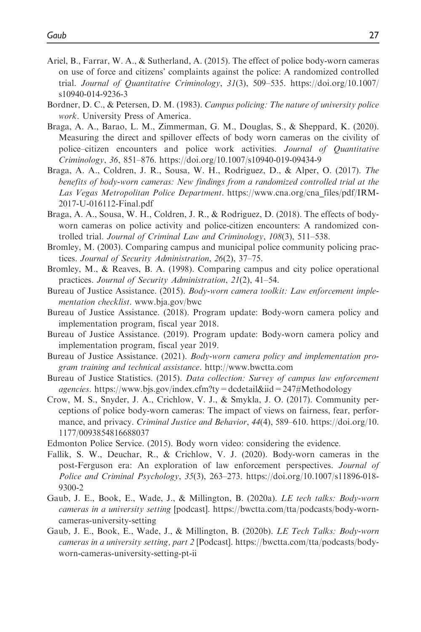- Ariel, B., Farrar, W. A., & Sutherland, A. (2015). The effect of police body-worn cameras on use of force and citizens' complaints against the police: A randomized controlled trial. Journal of Quantitative Criminology, 31(3), 509–535. [https://doi.org/10.1007/](https://doi.org/10.1007/s10940-014-9236-3) [s10940-014-9236-3](https://doi.org/10.1007/s10940-014-9236-3)
- Bordner, D. C., & Petersen, D. M. (1983). Campus policing: The nature of university police work. University Press of America.
- Braga, A. A., Barao, L. M., Zimmerman, G. M., Douglas, S., & Sheppard, K. (2020). Measuring the direct and spillover effects of body worn cameras on the civility of police–citizen encounters and police work activities. Journal of Quantitative Criminology, 36, 851–876.<https://doi.org/10.1007/s10940-019-09434-9>
- Braga, A. A., Coldren, J. R., Sousa, W. H., Rodriguez, D., & Alper, O. (2017). The benefits of body-worn cameras: New findings from a randomized controlled trial at the Las Vegas Metropolitan Police Department. [https://www.cna.org/cna\\_files/pdf/IRM-](https://www.cna.org/cna_files/pdf/IRM-2017-U-016112-Final.pdf)[2017-U-016112-Final.pdf](https://www.cna.org/cna_files/pdf/IRM-2017-U-016112-Final.pdf)
- Braga, A. A., Sousa, W. H., Coldren, J. R., & Rodriguez, D. (2018). The effects of bodyworn cameras on police activity and police-citizen encounters: A randomized controlled trial. Journal of Criminal Law and Criminology, 108(3), 511–538.
- Bromley, M. (2003). Comparing campus and municipal police community policing practices. Journal of Security Administration, 26(2), 37–75.
- Bromley, M., & Reaves, B. A. (1998). Comparing campus and city police operational practices. Journal of Security Administration, 21(2), 41–54.
- Bureau of Justice Assistance. (2015). Body-worn camera toolkit: Law enforcement implementation checklist. [www.bja.gov/bwc](http://www.bja.gov/bwc)
- Bureau of Justice Assistance. (2018). Program update: Body-worn camera policy and implementation program, fiscal year 2018.
- Bureau of Justice Assistance. (2019). Program update: Body-worn camera policy and implementation program, fiscal year 2019.
- Bureau of Justice Assistance. (2021). Body-worn camera policy and implementation program training and technical assistance. <http://www.bwctta.com>
- Bureau of Justice Statistics. (2015). Data collection: Survey of campus law enforcement agencies.<https://www.bjs.gov/index.cfm?ty=dcdetail&iid=247#Methodology>
- Crow, M. S., Snyder, J. A., Crichlow, V. J., & Smykla, J. O. (2017). Community perceptions of police body-worn cameras: The impact of views on fairness, fear, performance, and privacy. *Criminal Justice and Behavior*, 44(4), 589–610. [https://doi.org/10.](https://doi.org/10.1177/0093854816688037) [1177/0093854816688037](https://doi.org/10.1177/0093854816688037)
- Edmonton Police Service. (2015). Body worn video: considering the evidence.
- Fallik, S. W., Deuchar, R., & Crichlow, V. J. (2020). Body-worn cameras in the post-Ferguson era: An exploration of law enforcement perspectives. Journal of Police and Criminal Psychology, 35(3), 263–273. [https://doi.org/10.1007/s11896-018-](https://doi.org/10.1007/s11896-018-9300-2) [9300-2](https://doi.org/10.1007/s11896-018-9300-2)
- Gaub, J. E., Book, E., Wade, J., & Millington, B. (2020a). LE tech talks: Body-worn cameras in a university setting [podcast]. [https://bwctta.com/tta/podcasts/body-worn](https://bwctta.com/tta/podcasts/body-worn-cameras-university-setting)[cameras-university-setting](https://bwctta.com/tta/podcasts/body-worn-cameras-university-setting)
- Gaub, J. E., Book, E., Wade, J., & Millington, B. (2020b). LE Tech Talks: Body-worn cameras in a university setting, part 2 [Podcast]. [https://bwctta.com/tta/podcasts/body](https://bwctta.com/tta/podcasts/body-worn-cameras-university-setting-pt-ii)[worn-cameras-university-setting-pt-ii](https://bwctta.com/tta/podcasts/body-worn-cameras-university-setting-pt-ii)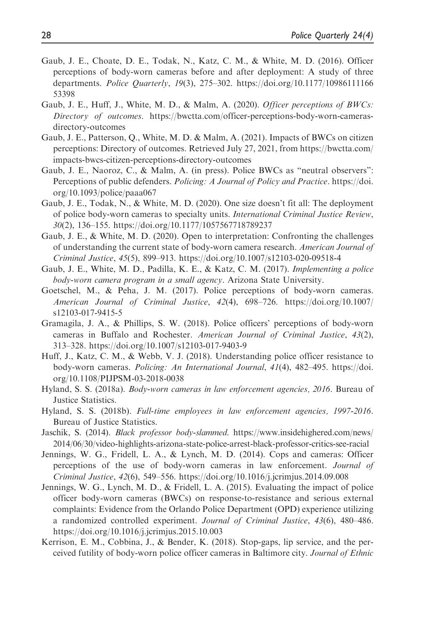- Gaub, J. E., Choate, D. E., Todak, N., Katz, C. M., & White, M. D. (2016). Officer perceptions of body-worn cameras before and after deployment: A study of three departments. Police Quarterly, 19(3), 275–302. [https://doi.org/10.1177/10986111166](https://doi.org/10.1177/1098611116653398) [53398](https://doi.org/10.1177/1098611116653398)
- Gaub, J. E., Huff, J., White, M. D., & Malm, A. (2020). Officer perceptions of BWCs: Directory of outcomes. [https://bwctta.com/officer-perceptions-body-worn-cameras](https://bwctta.com/officer-perceptions-body-worn-cameras-directory-outcomes)[directory-outcomes](https://bwctta.com/officer-perceptions-body-worn-cameras-directory-outcomes)
- Gaub, J. E., Patterson, Q., White, M. D. & Malm, A. (2021). Impacts of BWCs on citizen perceptions: Directory of outcomes. Retrieved July 27, 2021, from https://bwctta.com/ impacts-bwcs-citizen-perceptions-directory-outcomes
- Gaub, J. E., Naoroz, C., & Malm, A. (in press). Police BWCs as "neutral observers": Perceptions of public defenders. Policing: A Journal of Policy and Practice. [https://doi.](https://doi.org/10.1093/police/paaa067) [org/10.1093/police/paaa067](https://doi.org/10.1093/police/paaa067)
- Gaub, J. E., Todak, N., & White, M. D. (2020). One size doesn't fit all: The deployment of police body-worn cameras to specialty units. International Criminal Justice Review, 30(2), 136–155.<https://doi.org/10.1177/1057567718789237>
- Gaub, J. E., & White, M. D. (2020). Open to interpretation: Confronting the challenges of understanding the current state of body-worn camera research. American Journal of Criminal Justice, 45(5), 899–913.<https://doi.org/10.1007/s12103-020-09518-4>
- Gaub, J. E., White, M. D., Padilla, K. E., & Katz, C. M. (2017). Implementing a police body-worn camera program in a small agency. Arizona State University.
- Goetschel, M., & Peha, J. M. (2017). Police perceptions of body-worn cameras. American Journal of Criminal Justice, 42(4), 698–726. [https://doi.org/10.1007/](https://doi.org/10.1007/s12103-017-9415-5) [s12103-017-9415-5](https://doi.org/10.1007/s12103-017-9415-5)
- Gramagila, J. A., & Phillips, S. W. (2018). Police officers' perceptions of body-worn cameras in Buffalo and Rochester. American Journal of Criminal Justice, 43(2), 313–328.<https://doi.org/10.1007/s12103-017-9403-9>
- Huff, J., Katz, C. M., & Webb, V. J. (2018). Understanding police officer resistance to body-worn cameras. Policing: An International Journal, 41(4), 482–495. [https://doi.](https://doi.org/10.1108/PIJPSM-03-2018-0038) [org/10.1108/PIJPSM-03-2018-0038](https://doi.org/10.1108/PIJPSM-03-2018-0038)
- Hyland, S. S. (2018a). Body-worn cameras in law enforcement agencies, 2016. Bureau of Justice Statistics.
- Hyland, S. S. (2018b). Full-time employees in law enforcement agencies, 1997-2016. Bureau of Justice Statistics.
- Jaschik, S. (2014). Black professor body-slammed. [https://www.insidehighered.com/news/](https://www.insidehighered.com/news/2014/06/30/video-highlights-arizona-state-police-arrest-black-professor-critics-see-racial) [2014/06/30/video-highlights-arizona-state-police-arrest-black-professor-critics-see-racial](https://www.insidehighered.com/news/2014/06/30/video-highlights-arizona-state-police-arrest-black-professor-critics-see-racial)
- Jennings, W. G., Fridell, L. A., & Lynch, M. D. (2014). Cops and cameras: Officer perceptions of the use of body-worn cameras in law enforcement. Journal of Criminal Justice, 42(6), 549–556.<https://doi.org/10.1016/j.jcrimjus.2014.09.008>
- Jennings, W. G., Lynch, M. D., & Fridell, L. A. (2015). Evaluating the impact of police officer body-worn cameras (BWCs) on response-to-resistance and serious external complaints: Evidence from the Orlando Police Department (OPD) experience utilizing a randomized controlled experiment. Journal of Criminal Justice, 43(6), 480–486. <https://doi.org/10.1016/j.jcrimjus.2015.10.003>
- Kerrison, E. M., Cobbina, J., & Bender, K. (2018). Stop-gaps, lip service, and the perceived futility of body-worn police officer cameras in Baltimore city. Journal of Ethnic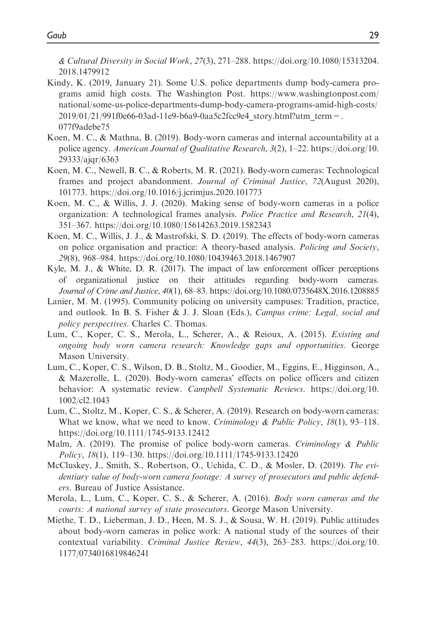& Cultural Diversity in Social Work, 27(3), 271–288. [https://doi.org/10.1080/15313204.](https://doi.org/10.1080/15313204.2018.1479912) [2018.1479912](https://doi.org/10.1080/15313204.2018.1479912)

- Kindy, K. (2019, January 21). Some U.S. police departments dump body-camera programs amid high costs. The Washington Post. [https://www.washingtonpost.com/](https://www.washingtonpost.com/national/some-us-police-departments-dump-body-camera-programs-amid-high-costs/2019/01/21/991f0e66-03ad-11e9-b6a9-0aa5c2fcc9e4_story.html?utm_term=.077f9adebe75) [national/some-us-police-departments-dump-body-camera-programs-amid-high-costs/](https://www.washingtonpost.com/national/some-us-police-departments-dump-body-camera-programs-amid-high-costs/2019/01/21/991f0e66-03ad-11e9-b6a9-0aa5c2fcc9e4_story.html?utm_term=.077f9adebe75)  $2019/01/21/991f0e66-03ad-11e9-b6a9-0aa5c2fcc9e4$  story.html?utm\_term=. [077f9adebe75](https://www.washingtonpost.com/national/some-us-police-departments-dump-body-camera-programs-amid-high-costs/2019/01/21/991f0e66-03ad-11e9-b6a9-0aa5c2fcc9e4_story.html?utm_term=.077f9adebe75)
- Koen, M. C., & Mathna, B. (2019). Body-worn cameras and internal accountability at a police agency. American Journal of Qualitative Research, 3(2), 1–22. [https://doi.org/10.](https://doi.org/10.29333/ajqr/6363) [29333/ajqr/6363](https://doi.org/10.29333/ajqr/6363)
- Koen, M. C., Newell, B. C., & Roberts, M. R. (2021). Body-worn cameras: Technological frames and project abandonment. Journal of Criminal Justice, 72(August 2020), 101773.<https://doi.org/10.1016/j.jcrimjus.2020.101773>
- Koen, M. C., & Willis, J. J. (2020). Making sense of body-worn cameras in a police organization: A technological frames analysis. Police Practice and Research, 21(4), 351–367.<https://doi.org/10.1080/15614263.2019.1582343>
- Koen, M. C., Willis, J. J., & Mastrofski, S. D. (2019). The effects of body-worn cameras on police organisation and practice: A theory-based analysis. Policing and Society, 29(8), 968–984.<https://doi.org/10.1080/10439463.2018.1467907>
- Kyle, M. J., & White, D. R. (2017). The impact of law enforcement officer perceptions of organizational justice on their attitudes regarding body-worn cameras. Journal of Crime and Justice, 40(1), 68–83.<https://doi.org/10.1080/0735648X.2016.1208885>
- Lanier, M. M. (1995). Community policing on university campuses: Tradition, practice, and outlook. In B. S. Fisher & J. J. Sloan (Eds.), Campus crime: Legal, social and policy perspectives. Charles C. Thomas.
- Lum, C., Koper, C. S., Merola, L., Scherer, A., & Reioux, A. (2015). Existing and ongoing body worn camera research: Knowledge gaps and opportunities. George Mason University.
- Lum, C., Koper, C. S., Wilson, D. B., Stoltz, M., Goodier, M., Eggins, E., Higginson, A., & Mazerolle, L. (2020). Body-worn cameras' effects on police officers and citizen behavior: A systematic review. Campbell Systematic Reviews. [https://doi.org/10.](https://doi.org/10.1002/cl2.1043) [1002/cl2.1043](https://doi.org/10.1002/cl2.1043)
- Lum, C., Stoltz, M., Koper, C. S., & Scherer, A. (2019). Research on body-worn cameras: What we know, what we need to know. *Criminology & Public Policy*,  $18(1)$ ,  $93-118$ . <https://doi.org/10.1111/1745-9133.12412>
- Malm, A. (2019). The promise of police body-worn cameras. Criminology & Public Policy, 18(1), 119–130.<https://doi.org/10.1111/1745-9133.12420>
- McCluskey, J., Smith, S., Robertson, O., Uchida, C. D., & Mosler, D. (2019). The evidentiary value of body-worn camera footage: A survey of prosecutors and public defenders. Bureau of Justice Assistance.
- Merola, L., Lum, C., Koper, C. S., & Scherer, A. (2016). Body worn cameras and the courts: A national survey of state prosecutors. George Mason University.
- Miethe, T. D., Lieberman, J. D., Heen, M. S. J., & Sousa, W. H. (2019). Public attitudes about body-worn cameras in police work: A national study of the sources of their contextual variability. Criminal Justice Review, 44(3), 263–283. [https://doi.org/10.](https://doi.org/10.1177/0734016819846241) [1177/0734016819846241](https://doi.org/10.1177/0734016819846241)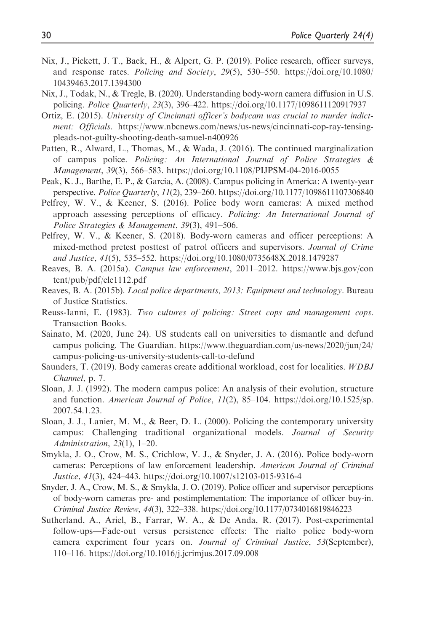- Nix, J., Pickett, J. T., Baek, H., & Alpert, G. P. (2019). Police research, officer surveys, and response rates. Policing and Society, 29(5), 530–550. [https://doi.org/10.1080/](https://doi.org/10.1080/10439463.2017.1394300) [10439463.2017.1394300](https://doi.org/10.1080/10439463.2017.1394300)
- Nix, J., Todak, N., & Tregle, B. (2020). Understanding body-worn camera diffusion in U.S. policing. Police Quarterly, 23(3), 396–422.<https://doi.org/10.1177/1098611120917937>
- Ortiz, E. (2015). University of Cincinnati officer's bodycam was crucial to murder indictment: Officials. [https://www.nbcnews.com/news/us-news/cincinnati-cop-ray-tensing](https://www.nbcnews.com/news/us-news/cincinnati-cop-ray-tensing-pleads-not-guilty-shooting-death-samuel-n400926)[pleads-not-guilty-shooting-death-samuel-n400926](https://www.nbcnews.com/news/us-news/cincinnati-cop-ray-tensing-pleads-not-guilty-shooting-death-samuel-n400926)
- Patten, R., Alward, L., Thomas, M., & Wada, J. (2016). The continued marginalization of campus police. Policing: An International Journal of Police Strategies & Management, 39(3), 566–583.<https://doi.org/10.1108/PIJPSM-04-2016-0055>
- Peak, K. J., Barthe, E. P., & Garcia, A. (2008). Campus policing in America: A twenty-year perspective. Police Quarterly, 11(2), 239–260.<https://doi.org/10.1177/1098611107306840>
- Pelfrey, W. V., & Keener, S. (2016). Police body worn cameras: A mixed method approach assessing perceptions of efficacy. Policing: An International Journal of Police Strategies & Management, 39(3), 491–506.
- Pelfrey, W. V., & Keener, S. (2018). Body-worn cameras and officer perceptions: A mixed-method pretest posttest of patrol officers and supervisors. Journal of Crime and Justice, 41(5), 535–552.<https://doi.org/10.1080/0735648X.2018.1479287>
- Reaves, B. A. (2015a). Campus law enforcement, 2011–2012. [https://www.bjs.gov/con](https://www.bjs.gov/content/pub/pdf/cle1112.pdf) [tent/pub/pdf/cle1112.pdf](https://www.bjs.gov/content/pub/pdf/cle1112.pdf)
- Reaves, B. A. (2015b). Local police departments, 2013: Equipment and technology. Bureau of Justice Statistics.
- Reuss-Ianni, E. (1983). Two cultures of policing: Street cops and management cops. Transaction Books.
- Sainato, M. (2020, June 24). US students call on universities to dismantle and defund campus policing. The Guardian. [https://www.theguardian.com/us-news/2020/jun/24/](https://www.theguardian.com/us-news/2020/jun/24/campus-policing-us-university-students-call-to-defund) [campus-policing-us-university-students-call-to-defund](https://www.theguardian.com/us-news/2020/jun/24/campus-policing-us-university-students-call-to-defund)
- Saunders, T. (2019). Body cameras create additional workload, cost for localities. WDBJ Channel, p. 7.
- Sloan, J. J. (1992). The modern campus police: An analysis of their evolution, structure and function. American Journal of Police, 11(2), 85–104. [https://doi.org/10.1525/sp.](https://doi.org/10.1525/sp.2007.54.1.23) [2007.54.1.23](https://doi.org/10.1525/sp.2007.54.1.23).
- Sloan, J. J., Lanier, M. M., & Beer, D. L. (2000). Policing the contemporary university campus: Challenging traditional organizational models. Journal of Security Administration, 23(1), 1–20.
- Smykla, J. O., Crow, M. S., Crichlow, V. J., & Snyder, J. A. (2016). Police body-worn cameras: Perceptions of law enforcement leadership. American Journal of Criminal Justice, 41(3), 424–443.<https://doi.org/10.1007/s12103-015-9316-4>
- Snyder, J. A., Crow, M. S., & Smykla, J. O. (2019). Police officer and supervisor perceptions of body-worn cameras pre- and postimplementation: The importance of officer buy-in. Criminal Justice Review, 44(3), 322–338.<https://doi.org/10.1177/0734016819846223>
- Sutherland, A., Ariel, B., Farrar, W. A., & De Anda, R. (2017). Post-experimental follow-ups—Fade-out versus persistence effects: The rialto police body-worn camera experiment four years on. Journal of Criminal Justice, 53(September), 110–116.<https://doi.org/10.1016/j.jcrimjus.2017.09.008>